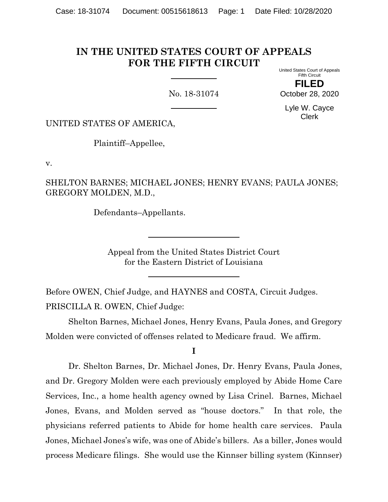### **IN THE UNITED STATES COURT OF APPEALS FOR THE FIFTH CIRCUIT** United States Court of Appeals

No. 18-31074

Fifth Circuit **FILED**

October 28, 2020

Lyle W. Cayce Clerk

UNITED STATES OF AMERICA,

Plaintiff–Appellee,

v.

SHELTON BARNES; MICHAEL JONES; HENRY EVANS; PAULA JONES; GREGORY MOLDEN, M.D.,

Defendants–Appellants.

Appeal from the United States District Court for the Eastern District of Louisiana

Before OWEN, Chief Judge, and HAYNES and COSTA, Circuit Judges. PRISCILLA R. OWEN, Chief Judge:

Shelton Barnes, Michael Jones, Henry Evans, Paula Jones, and Gregory Molden were convicted of offenses related to Medicare fraud. We affirm.

**I**

Dr. Shelton Barnes, Dr. Michael Jones, Dr. Henry Evans, Paula Jones, and Dr. Gregory Molden were each previously employed by Abide Home Care Services, Inc., a home health agency owned by Lisa Crinel. Barnes, Michael Jones, Evans, and Molden served as "house doctors." In that role, the physicians referred patients to Abide for home health care services. Paula Jones, Michael Jones's wife, was one of Abide's billers. As a biller, Jones would process Medicare filings. She would use the Kinnser billing system (Kinnser)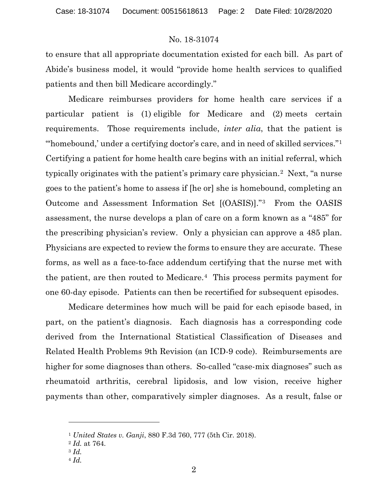to ensure that all appropriate documentation existed for each bill. As part of Abide's business model, it would "provide home health services to qualified patients and then bill Medicare accordingly."

Medicare reimburses providers for home health care services if a particular patient is (1) eligible for Medicare and (2) meets certain requirements. Those requirements include, *inter alia*, that the patient is "homebound,' under a certifying doctor's care, and in need of skilled services."<sup>[1](#page-1-0)</sup> Certifying a patient for home health care begins with an initial referral, which typically originates with the patient's primary care physician.[2](#page-1-1) Next, "a nurse goes to the patient's home to assess if [he or] she is homebound, completing an Outcome and Assessment Information Set [(OASIS)]."[3](#page-1-2) From the OASIS assessment, the nurse develops a plan of care on a form known as a "485" for the prescribing physician's review. Only a physician can approve a 485 plan. Physicians are expected to review the forms to ensure they are accurate. These forms, as well as a face-to-face addendum certifying that the nurse met with the patient, are then routed to Medicare.<sup>[4](#page-1-3)</sup> This process permits payment for one 60-day episode. Patients can then be recertified for subsequent episodes.

Medicare determines how much will be paid for each episode based, in part, on the patient's diagnosis. Each diagnosis has a corresponding code derived from the International Statistical Classification of Diseases and Related Health Problems 9th Revision (an ICD-9 code). Reimbursements are higher for some diagnoses than others. So-called "case-mix diagnoses" such as rheumatoid arthritis, cerebral lipidosis, and low vision, receive higher payments than other, comparatively simpler diagnoses. As a result, false or

<sup>1</sup> *United States v. Ganji*, 880 F.3d 760, 777 (5th Cir. 2018).

<span id="page-1-2"></span><span id="page-1-1"></span><span id="page-1-0"></span><sup>2</sup> *Id.* at 764.

<sup>3</sup> *Id.*

<span id="page-1-3"></span><sup>4</sup> *Id.*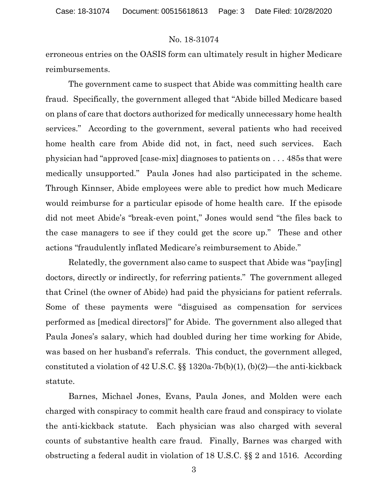erroneous entries on the OASIS form can ultimately result in higher Medicare reimbursements.

The government came to suspect that Abide was committing health care fraud. Specifically, the government alleged that "Abide billed Medicare based on plans of care that doctors authorized for medically unnecessary home health services." According to the government, several patients who had received home health care from Abide did not, in fact, need such services. Each physician had "approved [case-mix] diagnoses to patients on . . . 485s that were medically unsupported." Paula Jones had also participated in the scheme. Through Kinnser, Abide employees were able to predict how much Medicare would reimburse for a particular episode of home health care. If the episode did not meet Abide's "break-even point," Jones would send "the files back to the case managers to see if they could get the score up." These and other actions "fraudulently inflated Medicare's reimbursement to Abide."

Relatedly, the government also came to suspect that Abide was "pay[ing] doctors, directly or indirectly, for referring patients." The government alleged that Crinel (the owner of Abide) had paid the physicians for patient referrals. Some of these payments were "disguised as compensation for services performed as [medical directors]" for Abide. The government also alleged that Paula Jones's salary, which had doubled during her time working for Abide, was based on her husband's referrals. This conduct, the government alleged, constituted a violation of 42 U.S.C. §§ 1320a-7b(b)(1), (b)(2)—the anti-kickback statute.

Barnes, Michael Jones, Evans, Paula Jones, and Molden were each charged with conspiracy to commit health care fraud and conspiracy to violate the anti-kickback statute. Each physician was also charged with several counts of substantive health care fraud. Finally, Barnes was charged with obstructing a federal audit in violation of 18 U.S.C. §§ 2 and 1516. According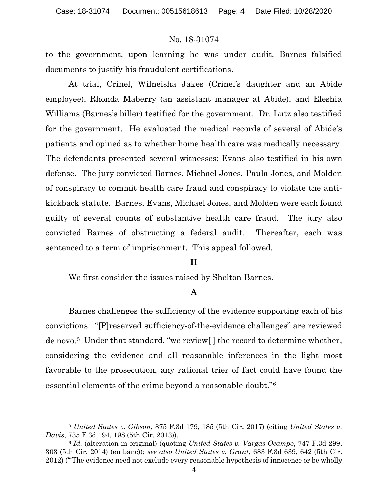to the government, upon learning he was under audit, Barnes falsified documents to justify his fraudulent certifications.

At trial, Crinel, Wilneisha Jakes (Crinel's daughter and an Abide employee), Rhonda Maberry (an assistant manager at Abide), and Eleshia Williams (Barnes's biller) testified for the government. Dr. Lutz also testified for the government. He evaluated the medical records of several of Abide's patients and opined as to whether home health care was medically necessary. The defendants presented several witnesses; Evans also testified in his own defense. The jury convicted Barnes, Michael Jones, Paula Jones, and Molden of conspiracy to commit health care fraud and conspiracy to violate the antikickback statute. Barnes, Evans, Michael Jones, and Molden were each found guilty of several counts of substantive health care fraud. The jury also convicted Barnes of obstructing a federal audit. Thereafter, each was sentenced to a term of imprisonment. This appeal followed.

## **II**

We first consider the issues raised by Shelton Barnes.

## **A**

Barnes challenges the sufficiency of the evidence supporting each of his convictions. "[P]reserved sufficiency-of-the-evidence challenges" are reviewed de novo.[5](#page-3-0) Under that standard, "we review[ ] the record to determine whether, considering the evidence and all reasonable inferences in the light most favorable to the prosecution, any rational trier of fact could have found the essential elements of the crime beyond a reasonable doubt."[6](#page-3-1)

<span id="page-3-0"></span><sup>5</sup> *United States v. Gibson*, 875 F.3d 179, 185 (5th Cir. 2017) (citing *United States v. Davis*, 735 F.3d 194, 198 (5th Cir. 2013)).

<span id="page-3-1"></span><sup>6</sup> *Id.* (alteration in original) (quoting *United States v. Vargas-Ocampo*, 747 F.3d 299, 303 (5th Cir. 2014) (en banc)); *see also United States v. Grant*, 683 F.3d 639, 642 (5th Cir. 2012) ("'The evidence need not exclude every reasonable hypothesis of innocence or be wholly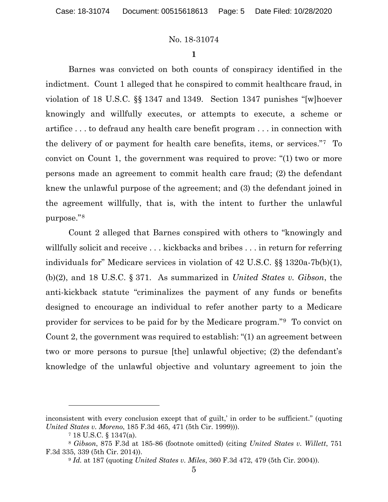**1**

Barnes was convicted on both counts of conspiracy identified in the indictment. Count 1 alleged that he conspired to commit healthcare fraud, in violation of 18 U.S.C. §§ 1347 and 1349. Section 1347 punishes "[w]hoever knowingly and willfully executes, or attempts to execute, a scheme or artifice . . . to defraud any health care benefit program . . . in connection with the delivery of or payment for health care benefits, items, or services."[7](#page-4-0) To convict on Count 1, the government was required to prove: "(1) two or more persons made an agreement to commit health care fraud; (2) the defendant knew the unlawful purpose of the agreement; and (3) the defendant joined in the agreement willfully, that is, with the intent to further the unlawful purpose."[8](#page-4-1) 

Count 2 alleged that Barnes conspired with others to "knowingly and willfully solicit and receive . . . kickbacks and bribes . . . in return for referring individuals for" Medicare services in violation of 42 U.S.C. §§ 1320a-7b(b)(1), (b)(2), and 18 U.S.C. § 371. As summarized in *United States v. Gibson*, the anti-kickback statute "criminalizes the payment of any funds or benefits designed to encourage an individual to refer another party to a Medicare provider for services to be paid for by the Medicare program."[9](#page-4-2) To convict on Count 2, the government was required to establish: "(1) an agreement between two or more persons to pursue [the] unlawful objective; (2) the defendant's knowledge of the unlawful objective and voluntary agreement to join the

inconsistent with every conclusion except that of guilt,' in order to be sufficient." (quoting *United States v. Moreno*, 185 F.3d 465, 471 (5th Cir. 1999))).

<sup>7</sup> 18 U.S.C. § 1347(a).

<span id="page-4-2"></span><span id="page-4-1"></span><span id="page-4-0"></span><sup>8</sup> *Gibson*, 875 F.3d at 185-86 (footnote omitted) (citing *United States v. Willett*, 751 F.3d 335, 339 (5th Cir. 2014)).

<sup>9</sup> *Id.* at 187 (quoting *United States v. Miles*, 360 F.3d 472, 479 (5th Cir. 2004)).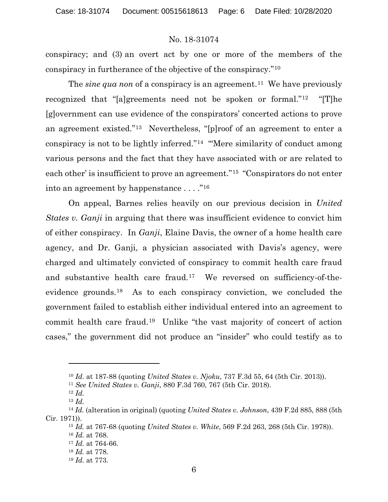conspiracy; and (3) an overt act by one or more of the members of the conspiracy in furtherance of the objective of the conspiracy."[10](#page-5-0)

The *sine* qua non of a conspiracy is an agreement.<sup>[11](#page-5-1)</sup> We have previously recognized that "[a]greements need not be spoken or formal."<sup>[12](#page-5-2)</sup> "[T]he [g]overnment can use evidence of the conspirators' concerted actions to prove an agreement existed."[13](#page-5-3) Nevertheless, "[p]roof of an agreement to enter a conspiracy is not to be lightly inferred."[14](#page-5-4) "'Mere similarity of conduct among various persons and the fact that they have associated with or are related to each other' is insufficient to prove an agreement."[15](#page-5-5) "Conspirators do not enter into an agreement by happenstance . . . ."[16](#page-5-6)

On appeal, Barnes relies heavily on our previous decision in *United States v. Ganji* in arguing that there was insufficient evidence to convict him of either conspiracy. In *Ganji*, Elaine Davis, the owner of a home health care agency, and Dr. Ganji, a physician associated with Davis's agency, were charged and ultimately convicted of conspiracy to commit health care fraud and substantive health care fraud.[17](#page-5-7) We reversed on sufficiency-of-theevidence grounds.[18](#page-5-8) As to each conspiracy conviction, we concluded the government failed to establish either individual entered into an agreement to commit health care fraud.[19](#page-5-9) Unlike "the vast majority of concert of action cases," the government did not produce an "insider" who could testify as to

<sup>15</sup> *Id.* at 767-68 (quoting *United States v. White*, 569 F.2d 263, 268 (5th Cir. 1978)). <sup>16</sup> *Id.* at 768.

<sup>10</sup> *Id.* at 187-88 (quoting *United States v. Njoku*, 737 F.3d 55, 64 (5th Cir. 2013)).

<sup>11</sup> *See United States v. Ganji*, 880 F.3d 760, 767 (5th Cir. 2018).

<sup>12</sup> *Id.*

<sup>13</sup> *Id.*

<span id="page-5-9"></span><span id="page-5-8"></span><span id="page-5-7"></span><span id="page-5-6"></span><span id="page-5-5"></span><span id="page-5-4"></span><span id="page-5-3"></span><span id="page-5-2"></span><span id="page-5-1"></span><span id="page-5-0"></span><sup>14</sup> *Id.* (alteration in original) (quoting *United States v. Johnson*, 439 F.2d 885, 888 (5th Cir. 1971)).

<sup>17</sup> *Id.* at 764-66.

<sup>18</sup> *Id.* at 778.

<sup>19</sup> *Id.* at 773.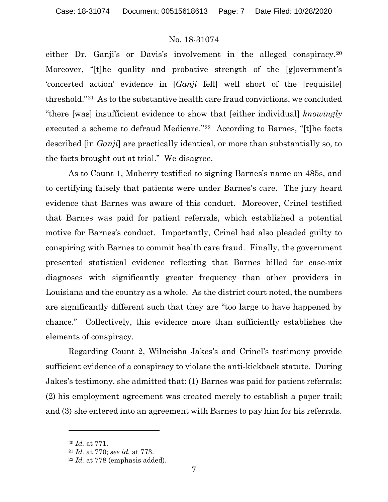either Dr. Ganji's or Davis's involvement in the alleged conspiracy.<sup>[20](#page-6-0)</sup> Moreover, "[t]he quality and probative strength of the [g]overnment's 'concerted action' evidence in [*Ganji* fell] well short of the [requisite] threshold."[21](#page-6-1) As to the substantive health care fraud convictions, we concluded "there [was] insufficient evidence to show that [either individual] *knowingly*  executed a scheme to defraud Medicare."[22](#page-6-2) According to Barnes, "[t]he facts described [in *Ganji*] are practically identical, or more than substantially so, to the facts brought out at trial." We disagree.

As to Count 1, Maberry testified to signing Barnes's name on 485s, and to certifying falsely that patients were under Barnes's care. The jury heard evidence that Barnes was aware of this conduct. Moreover, Crinel testified that Barnes was paid for patient referrals, which established a potential motive for Barnes's conduct. Importantly, Crinel had also pleaded guilty to conspiring with Barnes to commit health care fraud. Finally, the government presented statistical evidence reflecting that Barnes billed for case-mix diagnoses with significantly greater frequency than other providers in Louisiana and the country as a whole. As the district court noted, the numbers are significantly different such that they are "too large to have happened by chance." Collectively, this evidence more than sufficiently establishes the elements of conspiracy.

Regarding Count 2, Wilneisha Jakes's and Crinel's testimony provide sufficient evidence of a conspiracy to violate the anti-kickback statute. During Jakes's testimony, she admitted that: (1) Barnes was paid for patient referrals; (2) his employment agreement was created merely to establish a paper trail; and (3) she entered into an agreement with Barnes to pay him for his referrals.

<span id="page-6-0"></span><sup>20</sup> *Id.* at 771.

<span id="page-6-1"></span><sup>21</sup> *Id.* at 770; *see id.* at 773.

<span id="page-6-2"></span><sup>22</sup> *Id.* at 778 (emphasis added).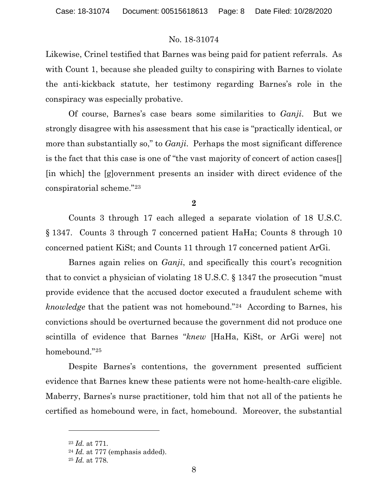Likewise, Crinel testified that Barnes was being paid for patient referrals. As with Count 1, because she pleaded guilty to conspiring with Barnes to violate the anti-kickback statute, her testimony regarding Barnes's role in the conspiracy was especially probative.

Of course, Barnes's case bears some similarities to *Ganji*. But we strongly disagree with his assessment that his case is "practically identical, or more than substantially so," to *Ganji*. Perhaps the most significant difference is the fact that this case is one of "the vast majority of concert of action cases[] [in which] the [g]overnment presents an insider with direct evidence of the conspiratorial scheme."[23](#page-7-0)

**2**

Counts 3 through 17 each alleged a separate violation of 18 U.S.C. § 1347. Counts 3 through 7 concerned patient HaHa; Counts 8 through 10 concerned patient KiSt; and Counts 11 through 17 concerned patient ArGi.

Barnes again relies on *Ganji*, and specifically this court's recognition that to convict a physician of violating 18 U.S.C. § 1347 the prosecution "must provide evidence that the accused doctor executed a fraudulent scheme with *knowledge* that the patient was not homebound."<sup>[24](#page-7-1)</sup> According to Barnes, his convictions should be overturned because the government did not produce one scintilla of evidence that Barnes "*knew* [HaHa, KiSt, or ArGi were] not homebound."[25](#page-7-2)

Despite Barnes's contentions, the government presented sufficient evidence that Barnes knew these patients were not home-health-care eligible. Maberry, Barnes's nurse practitioner, told him that not all of the patients he certified as homebound were, in fact, homebound. Moreover, the substantial

<span id="page-7-0"></span><sup>23</sup> *Id.* at 771.

<span id="page-7-1"></span><sup>24</sup> *Id.* at 777 (emphasis added).

<span id="page-7-2"></span><sup>25</sup> *Id.* at 778.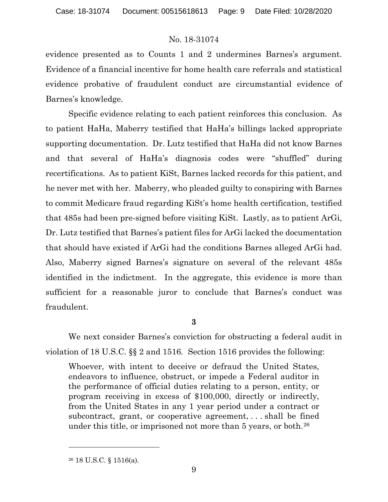evidence presented as to Counts 1 and 2 undermines Barnes's argument. Evidence of a financial incentive for home health care referrals and statistical evidence probative of fraudulent conduct are circumstantial evidence of Barnes's knowledge.

Specific evidence relating to each patient reinforces this conclusion. As to patient HaHa, Maberry testified that HaHa's billings lacked appropriate supporting documentation. Dr. Lutz testified that HaHa did not know Barnes and that several of HaHa's diagnosis codes were "shuffled" during recertifications. As to patient KiSt, Barnes lacked records for this patient, and he never met with her. Maberry, who pleaded guilty to conspiring with Barnes to commit Medicare fraud regarding KiSt's home health certification, testified that 485s had been pre-signed before visiting KiSt. Lastly, as to patient ArGi, Dr. Lutz testified that Barnes's patient files for ArGi lacked the documentation that should have existed if ArGi had the conditions Barnes alleged ArGi had. Also, Maberry signed Barnes's signature on several of the relevant 485s identified in the indictment. In the aggregate, this evidence is more than sufficient for a reasonable juror to conclude that Barnes's conduct was fraudulent.

**3**

We next consider Barnes's conviction for obstructing a federal audit in violation of 18 U.S.C. §§ 2 and 1516*.* Section 1516 provides the following:

Whoever, with intent to deceive or defraud the United States, endeavors to influence, obstruct, or impede a Federal auditor in the performance of official duties relating to a person, entity, or program receiving in excess of \$100,000, directly or indirectly, from the United States in any 1 year period under a contract or subcontract, grant, or cooperative agreement, . . . shall be fined under this title, or imprisoned not more than 5 years, or both.<sup>[26](#page-8-0)</sup>

<span id="page-8-0"></span><sup>26</sup> 18 U.S.C. § 1516(a).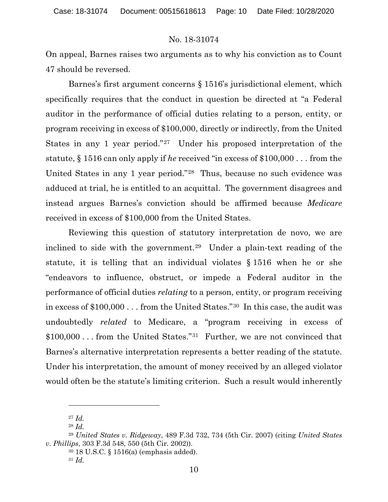On appeal, Barnes raises two arguments as to why his conviction as to Count 47 should be reversed.

Barnes's first argument concerns § 1516's jurisdictional element, which specifically requires that the conduct in question be directed at "a Federal auditor in the performance of official duties relating to a person, entity, or program receiving in excess of \$100,000, directly or indirectly, from the United States in any 1 year period."[27](#page-9-0) Under his proposed interpretation of the statute, § 1516 can only apply if *he* received "in excess of \$100,000 . . . from the United States in any 1 year period."[28](#page-9-1) Thus, because no such evidence was adduced at trial, he is entitled to an acquittal. The government disagrees and instead argues Barnes's conviction should be affirmed because *Medicare* received in excess of \$100,000 from the United States.

Reviewing this question of statutory interpretation de novo, we are inclined to side with the government.[29](#page-9-2) Under a plain-text reading of the statute, it is telling that an individual violates § 1516 when he or she "endeavors to influence, obstruct, or impede a Federal auditor in the performance of official duties *relating* to a person, entity, or program receiving in excess of \$100,000 . . . from the United States."[30](#page-9-3) In this case, the audit was undoubtedly *related* to Medicare, a "program receiving in excess of \$100,000 . . . from the United States."[31](#page-9-4) Further, we are not convinced that Barnes's alternative interpretation represents a better reading of the statute. Under his interpretation, the amount of money received by an alleged violator would often be the statute's limiting criterion. Such a result would inherently

<sup>27</sup> *Id.*

<sup>28</sup> *Id.*

<span id="page-9-4"></span><span id="page-9-3"></span><span id="page-9-2"></span><span id="page-9-1"></span><span id="page-9-0"></span><sup>29</sup> *United States v. Ridgeway*, 489 F.3d 732, 734 (5th Cir. 2007) (citing *United States v. Phillips*, 303 F.3d 548, 550 (5th Cir. 2002)).

<sup>30</sup> 18 U.S.C. § 1516(a) (emphasis added).

<sup>31</sup> *Id.*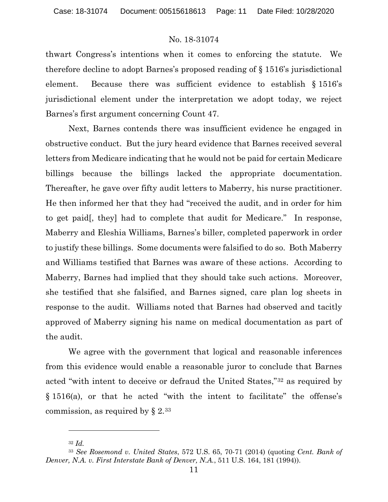thwart Congress's intentions when it comes to enforcing the statute. We therefore decline to adopt Barnes's proposed reading of § 1516's jurisdictional element. Because there was sufficient evidence to establish § 1516's jurisdictional element under the interpretation we adopt today, we reject Barnes's first argument concerning Count 47.

Next, Barnes contends there was insufficient evidence he engaged in obstructive conduct. But the jury heard evidence that Barnes received several letters from Medicare indicating that he would not be paid for certain Medicare billings because the billings lacked the appropriate documentation. Thereafter, he gave over fifty audit letters to Maberry, his nurse practitioner. He then informed her that they had "received the audit, and in order for him to get paid[, they] had to complete that audit for Medicare." In response, Maberry and Eleshia Williams, Barnes's biller, completed paperwork in order to justify these billings. Some documents were falsified to do so. Both Maberry and Williams testified that Barnes was aware of these actions. According to Maberry, Barnes had implied that they should take such actions. Moreover, she testified that she falsified, and Barnes signed, care plan log sheets in response to the audit. Williams noted that Barnes had observed and tacitly approved of Maberry signing his name on medical documentation as part of the audit.

We agree with the government that logical and reasonable inferences from this evidence would enable a reasonable juror to conclude that Barnes acted "with intent to deceive or defraud the United States,"[32](#page-10-0) as required by § 1516(a), or that he acted "with the intent to facilitate" the offense's commission, as required by  $\S 2^{33}$  $\S 2^{33}$  $\S 2^{33}$ 

<sup>32</sup> *Id.*

<span id="page-10-1"></span><span id="page-10-0"></span><sup>33</sup> *See Rosemond v. United States*, 572 U.S. 65, 70-71 (2014) (quoting *Cent. Bank of Denver, N.A. v. First Interstate Bank of Denver, N.A.*, 511 U.S. 164, 181 (1994)).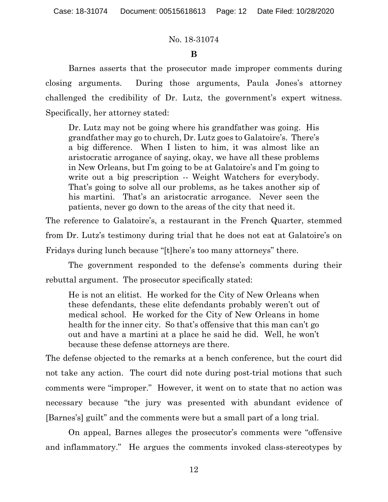## **B**

Barnes asserts that the prosecutor made improper comments during closing arguments. During those arguments, Paula Jones's attorney challenged the credibility of Dr. Lutz, the government's expert witness. Specifically, her attorney stated:

Dr. Lutz may not be going where his grandfather was going. His grandfather may go to church, Dr. Lutz goes to Galatoire's. There's a big difference. When I listen to him, it was almost like an aristocratic arrogance of saying, okay, we have all these problems in New Orleans, but I'm going to be at Galatoire's and I'm going to write out a big prescription -- Weight Watchers for everybody. That's going to solve all our problems, as he takes another sip of his martini. That's an aristocratic arrogance. Never seen the patients, never go down to the areas of the city that need it.

The reference to Galatoire's, a restaurant in the French Quarter, stemmed from Dr. Lutz's testimony during trial that he does not eat at Galatoire's on Fridays during lunch because "[t]here's too many attorneys" there.

The government responded to the defense's comments during their rebuttal argument. The prosecutor specifically stated:

He is not an elitist. He worked for the City of New Orleans when these defendants, these elite defendants probably weren't out of medical school. He worked for the City of New Orleans in home health for the inner city. So that's offensive that this man can't go out and have a martini at a place he said he did. Well, he won't because these defense attorneys are there.

The defense objected to the remarks at a bench conference, but the court did not take any action. The court did note during post-trial motions that such comments were "improper." However, it went on to state that no action was necessary because "the jury was presented with abundant evidence of [Barnes's] guilt" and the comments were but a small part of a long trial.

On appeal, Barnes alleges the prosecutor's comments were "offensive and inflammatory." He argues the comments invoked class-stereotypes by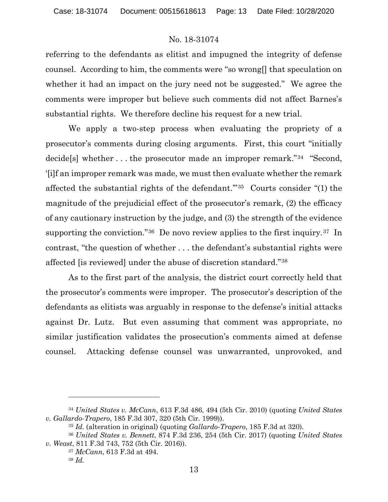referring to the defendants as elitist and impugned the integrity of defense counsel. According to him, the comments were "so wrong[] that speculation on whether it had an impact on the jury need not be suggested." We agree the comments were improper but believe such comments did not affect Barnes's substantial rights. We therefore decline his request for a new trial.

We apply a two-step process when evaluating the propriety of a prosecutor's comments during closing arguments. First, this court "initially decide[s] whether . . . the prosecutor made an improper remark."[34](#page-12-0) "Second, '[i]f an improper remark was made, we must then evaluate whether the remark affected the substantial rights of the defendant.'"[35](#page-12-1) Courts consider "(1) the magnitude of the prejudicial effect of the prosecutor's remark, (2) the efficacy of any cautionary instruction by the judge, and (3) the strength of the evidence supporting the conviction."<sup>36</sup> De novo review applies to the first inquiry.<sup>37</sup> In contrast, "the question of whether . . . the defendant's substantial rights were affected [is reviewed] under the abuse of discretion standard."[38](#page-12-4) 

As to the first part of the analysis, the district court correctly held that the prosecutor's comments were improper. The prosecutor's description of the defendants as elitists was arguably in response to the defense's initial attacks against Dr. Lutz. But even assuming that comment was appropriate, no similar justification validates the prosecution's comments aimed at defense counsel. Attacking defense counsel was unwarranted, unprovoked, and

<span id="page-12-0"></span><sup>34</sup> *United States v. McCann*, 613 F.3d 486, 494 (5th Cir. 2010) (quoting *United States v. Gallardo-Trapero*, 185 F.3d 307, 320 (5th Cir. 1999)).

<sup>35</sup> *Id.* (alteration in original) (quoting *Gallardo-Trapero*, 185 F.3d at 320).

<span id="page-12-4"></span><span id="page-12-3"></span><span id="page-12-2"></span><span id="page-12-1"></span><sup>36</sup> *United States v. Bennett*, 874 F.3d 236, 254 (5th Cir. 2017) (quoting *United States v. Weast*, 811 F.3d 743, 752 (5th Cir. 2016)).

<sup>37</sup> *McCann*, 613 F.3d at 494.

<sup>38</sup> *Id.*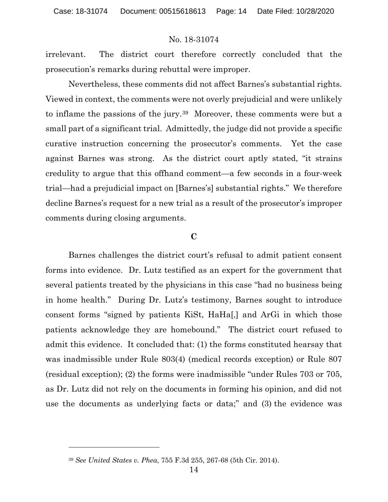irrelevant. The district court therefore correctly concluded that the prosecution's remarks during rebuttal were improper.

Nevertheless, these comments did not affect Barnes's substantial rights. Viewed in context, the comments were not overly prejudicial and were unlikely to inflame the passions of the jury.[39](#page-13-0) Moreover, these comments were but a small part of a significant trial. Admittedly, the judge did not provide a specific curative instruction concerning the prosecutor's comments. Yet the case against Barnes was strong. As the district court aptly stated, "it strains credulity to argue that this offhand comment—a few seconds in a four-week trial—had a prejudicial impact on [Barnes's] substantial rights." We therefore decline Barnes's request for a new trial as a result of the prosecutor's improper comments during closing arguments.

#### **C**

Barnes challenges the district court's refusal to admit patient consent forms into evidence. Dr. Lutz testified as an expert for the government that several patients treated by the physicians in this case "had no business being in home health." During Dr. Lutz's testimony, Barnes sought to introduce consent forms "signed by patients KiSt, HaHa[,] and ArGi in which those patients acknowledge they are homebound." The district court refused to admit this evidence. It concluded that: (1) the forms constituted hearsay that was inadmissible under Rule 803(4) (medical records exception) or Rule 807 (residual exception); (2) the forms were inadmissible "under Rules 703 or 705, as Dr. Lutz did not rely on the documents in forming his opinion, and did not use the documents as underlying facts or data;" and (3) the evidence was

<span id="page-13-0"></span><sup>39</sup> *See United States v. Phea*, 755 F.3d 255, 267-68 (5th Cir. 2014).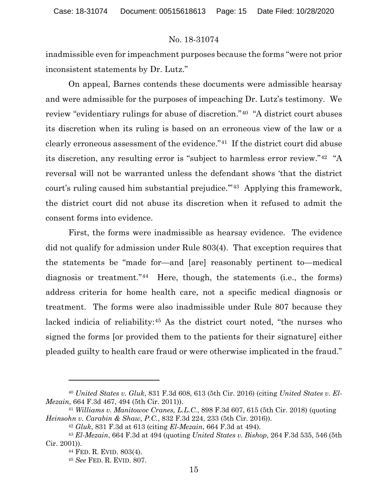inadmissible even for impeachment purposes because the forms "were not prior inconsistent statements by Dr. Lutz."

On appeal, Barnes contends these documents were admissible hearsay and were admissible for the purposes of impeaching Dr. Lutz's testimony. We review "evidentiary rulings for abuse of discretion."[40](#page-14-0) "A district court abuses its discretion when its ruling is based on an erroneous view of the law or a clearly erroneous assessment of the evidence."[41](#page-14-1) If the district court did abuse its discretion, any resulting error is "subject to harmless error review."[42](#page-14-2) "A reversal will not be warranted unless the defendant shows 'that the district court's ruling caused him substantial prejudice.'"[43](#page-14-3) Applying this framework, the district court did not abuse its discretion when it refused to admit the consent forms into evidence.

First, the forms were inadmissible as hearsay evidence. The evidence did not qualify for admission under Rule 803(4). That exception requires that the statements be "made for—and [are] reasonably pertinent to—medical diagnosis or treatment."[44](#page-14-4) Here, though, the statements (i.e., the forms) address criteria for home health care, not a specific medical diagnosis or treatment. The forms were also inadmissible under Rule 807 because they lacked indicia of reliability:[45](#page-14-5) As the district court noted, "the nurses who signed the forms [or provided them to the patients for their signature] either pleaded guilty to health care fraud or were otherwise implicated in the fraud."

<span id="page-14-0"></span><sup>40</sup> *United States v. Gluk*, 831 F.3d 608, 613 (5th Cir. 2016) (citing *United States v. El-Mezain*, 664 F.3d 467, 494 (5th Cir. 2011)).

<span id="page-14-1"></span><sup>41</sup> *Williams v. Manitowoc Cranes, L.L.C.*, 898 F.3d 607, 615 (5th Cir. 2018) (quoting *Heinsohn v. Carabin & Shaw, P.C.*, 832 F.3d 224, 233 (5th Cir. 2016)).

<sup>42</sup> *Gluk*, 831 F.3d at 613 (citing *El-Mezain*, 664 F.3d at 494).

<span id="page-14-5"></span><span id="page-14-4"></span><span id="page-14-3"></span><span id="page-14-2"></span><sup>43</sup> *El-Mezain*, 664 F.3d at 494 (quoting *United States v. Bishop*, 264 F.3d 535, 546 (5th Cir. 2001)).

<sup>44</sup> FED. R. EVID. 803(4).

<sup>45</sup> *See* FED. R. EVID. 807.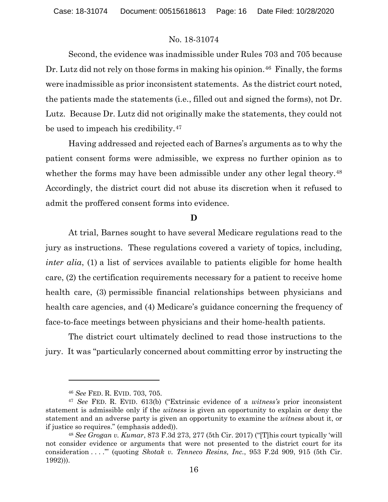Second, the evidence was inadmissible under Rules 703 and 705 because Dr. Lutz did not rely on those forms in making his opinion.<sup>[46](#page-15-0)</sup> Finally, the forms were inadmissible as prior inconsistent statements. As the district court noted, the patients made the statements (i.e., filled out and signed the forms), not Dr. Lutz. Because Dr. Lutz did not originally make the statements, they could not be used to impeach his credibility.<sup>47</sup>

Having addressed and rejected each of Barnes's arguments as to why the patient consent forms were admissible, we express no further opinion as to whether the forms may have been admissible under any other legal theory.<sup>[48](#page-15-2)</sup> Accordingly, the district court did not abuse its discretion when it refused to admit the proffered consent forms into evidence.

#### **D**

At trial, Barnes sought to have several Medicare regulations read to the jury as instructions. These regulations covered a variety of topics, including, *inter alia*, (1) a list of services available to patients eligible for home health care, (2) the certification requirements necessary for a patient to receive home health care, (3) permissible financial relationships between physicians and health care agencies, and (4) Medicare's guidance concerning the frequency of face-to-face meetings between physicians and their home-health patients.

The district court ultimately declined to read those instructions to the jury. It was "particularly concerned about committing error by instructing the

<sup>46</sup> *See* FED. R. EVID. 703, 705.

<span id="page-15-1"></span><span id="page-15-0"></span><sup>47</sup> *See* FED. R. EVID. 613(b) ("Extrinsic evidence of a *witness's* prior inconsistent statement is admissible only if the *witness* is given an opportunity to explain or deny the statement and an adverse party is given an opportunity to examine the *witness* about it, or if justice so requires." (emphasis added)).

<span id="page-15-2"></span><sup>48</sup> *See Grogan v. Kumar*, 873 F.3d 273, 277 (5th Cir. 2017) ("[T]his court typically 'will not consider evidence or arguments that were not presented to the district court for its consideration . . . .'" (quoting *Skotak v. Tenneco Resins, Inc.*, 953 F.2d 909, 915 (5th Cir. 1992))).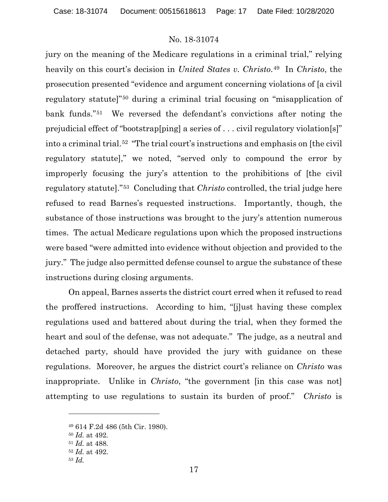jury on the meaning of the Medicare regulations in a criminal trial," relying heavily on this court's decision in *United States v. Christo*.[49](#page-16-0) In *Christo*, the prosecution presented "evidence and argument concerning violations of [a civil regulatory statute]"[50](#page-16-1) during a criminal trial focusing on "misapplication of bank funds."[51](#page-16-2) We reversed the defendant's convictions after noting the prejudicial effect of "bootstrap[ping] a series of . . . civil regulatory violation[s]" into a criminal trial.[52](#page-16-3) "The trial court's instructions and emphasis on [the civil regulatory statute]," we noted, "served only to compound the error by improperly focusing the jury's attention to the prohibitions of [the civil regulatory statute]."[53](#page-16-4) Concluding that *Christo* controlled, the trial judge here refused to read Barnes's requested instructions. Importantly, though, the substance of those instructions was brought to the jury's attention numerous times. The actual Medicare regulations upon which the proposed instructions were based "were admitted into evidence without objection and provided to the jury." The judge also permitted defense counsel to argue the substance of these instructions during closing arguments.

On appeal, Barnes asserts the district court erred when it refused to read the proffered instructions. According to him, "[j]ust having these complex regulations used and battered about during the trial, when they formed the heart and soul of the defense, was not adequate." The judge, as a neutral and detached party, should have provided the jury with guidance on these regulations. Moreover, he argues the district court's reliance on *Christo* was inappropriate. Unlike in *Christo*, "the government [in this case was not] attempting to use regulations to sustain its burden of proof." *Christo* is

<span id="page-16-0"></span><sup>49</sup> 614 F.2d 486 (5th Cir. 1980).

<span id="page-16-1"></span><sup>50</sup> *Id.* at 492.

<span id="page-16-2"></span><sup>51</sup> *Id.* at 488.

<span id="page-16-3"></span><sup>52</sup> *Id.* at 492.

<span id="page-16-4"></span><sup>53</sup> *Id.*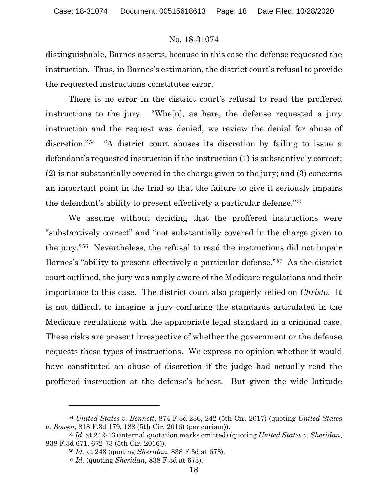distinguishable, Barnes asserts, because in this case the defense requested the instruction. Thus, in Barnes's estimation, the district court's refusal to provide the requested instructions constitutes error.

There is no error in the district court's refusal to read the proffered instructions to the jury. "Whe[n], as here, the defense requested a jury instruction and the request was denied, we review the denial for abuse of discretion."[54](#page-17-0) "A district court abuses its discretion by failing to issue a defendant's requested instruction if the instruction (1) is substantively correct; (2) is not substantially covered in the charge given to the jury; and (3) concerns an important point in the trial so that the failure to give it seriously impairs the defendant's ability to present effectively a particular defense."[55](#page-17-1)

We assume without deciding that the proffered instructions were "substantively correct" and "not substantially covered in the charge given to the jury."[56](#page-17-2) Nevertheless, the refusal to read the instructions did not impair Barnes's "ability to present effectively a particular defense."[57](#page-17-3) As the district court outlined, the jury was amply aware of the Medicare regulations and their importance to this case. The district court also properly relied on *Christo*. It is not difficult to imagine a jury confusing the standards articulated in the Medicare regulations with the appropriate legal standard in a criminal case. These risks are present irrespective of whether the government or the defense requests these types of instructions. We express no opinion whether it would have constituted an abuse of discretion if the judge had actually read the proffered instruction at the defense's behest. But given the wide latitude

<span id="page-17-0"></span><sup>54</sup> *United States v. Bennett*, 874 F.3d 236, 242 (5th Cir. 2017) (quoting *United States v. Bowen*, 818 F.3d 179, 188 (5th Cir. 2016) (per curiam)).

<span id="page-17-3"></span><span id="page-17-2"></span><span id="page-17-1"></span><sup>55</sup> *Id.* at 242-43 (internal quotation marks omitted) (quoting *United States v. Sheridan*, 838 F.3d 671, 672-73 (5th Cir. 2016)).

<sup>56</sup> *Id.* at 243 (quoting *Sheridan*, 838 F.3d at 673).

<sup>57</sup> *Id.* (quoting *Sheridan*, 838 F.3d at 673).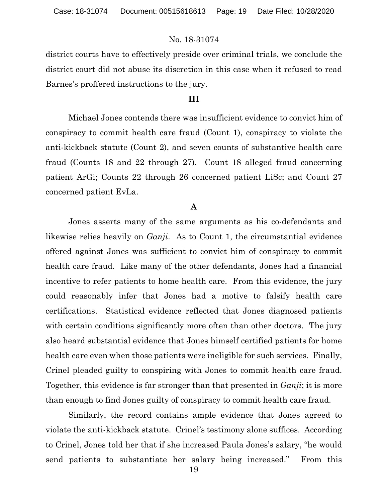district courts have to effectively preside over criminal trials, we conclude the district court did not abuse its discretion in this case when it refused to read Barnes's proffered instructions to the jury.

### **III**

Michael Jones contends there was insufficient evidence to convict him of conspiracy to commit health care fraud (Count 1), conspiracy to violate the anti-kickback statute (Count 2), and seven counts of substantive health care fraud (Counts 18 and 22 through 27). Count 18 alleged fraud concerning patient ArGi; Counts 22 through 26 concerned patient LiSc; and Count 27 concerned patient EvLa.

## **A**

Jones asserts many of the same arguments as his co-defendants and likewise relies heavily on *Ganji*. As to Count 1, the circumstantial evidence offered against Jones was sufficient to convict him of conspiracy to commit health care fraud. Like many of the other defendants, Jones had a financial incentive to refer patients to home health care. From this evidence, the jury could reasonably infer that Jones had a motive to falsify health care certifications. Statistical evidence reflected that Jones diagnosed patients with certain conditions significantly more often than other doctors. The jury also heard substantial evidence that Jones himself certified patients for home health care even when those patients were ineligible for such services. Finally, Crinel pleaded guilty to conspiring with Jones to commit health care fraud. Together, this evidence is far stronger than that presented in *Ganji*; it is more than enough to find Jones guilty of conspiracy to commit health care fraud.

Similarly, the record contains ample evidence that Jones agreed to violate the anti-kickback statute. Crinel's testimony alone suffices. According to Crinel, Jones told her that if she increased Paula Jones's salary, "he would send patients to substantiate her salary being increased." From this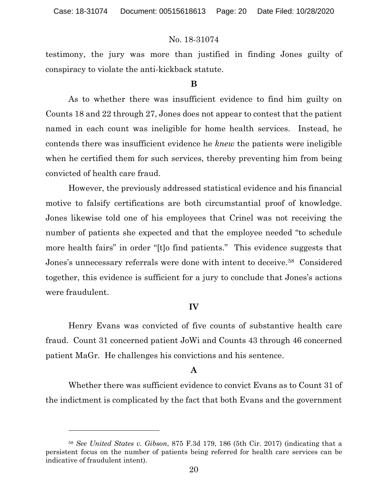testimony, the jury was more than justified in finding Jones guilty of conspiracy to violate the anti-kickback statute.

### **B**

As to whether there was insufficient evidence to find him guilty on Counts 18 and 22 through 27, Jones does not appear to contest that the patient named in each count was ineligible for home health services. Instead, he contends there was insufficient evidence he *knew* the patients were ineligible when he certified them for such services, thereby preventing him from being convicted of health care fraud.

However, the previously addressed statistical evidence and his financial motive to falsify certifications are both circumstantial proof of knowledge. Jones likewise told one of his employees that Crinel was not receiving the number of patients she expected and that the employee needed "to schedule more health fairs" in order "[t]o find patients." This evidence suggests that Jones's unnecessary referrals were done with intent to deceive.<sup>[58](#page-19-0)</sup> Considered together, this evidence is sufficient for a jury to conclude that Jones's actions were fraudulent.

### **IV**

Henry Evans was convicted of five counts of substantive health care fraud. Count 31 concerned patient JoWi and Counts 43 through 46 concerned patient MaGr. He challenges his convictions and his sentence.

## **A**

Whether there was sufficient evidence to convict Evans as to Count 31 of the indictment is complicated by the fact that both Evans and the government

<span id="page-19-0"></span><sup>58</sup> *See United States v. Gibson*, 875 F.3d 179, 186 (5th Cir. 2017) (indicating that a persistent focus on the number of patients being referred for health care services can be indicative of fraudulent intent).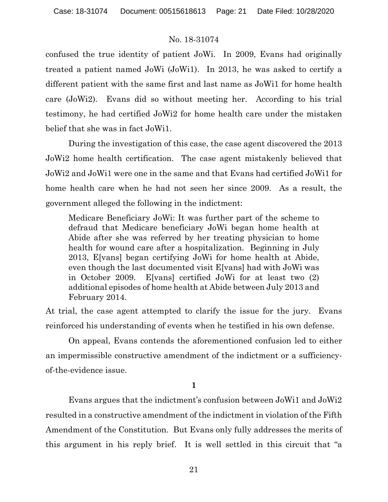confused the true identity of patient JoWi. In 2009, Evans had originally treated a patient named JoWi (JoWi1). In 2013, he was asked to certify a different patient with the same first and last name as JoWi1 for home health care (JoWi2). Evans did so without meeting her. According to his trial testimony, he had certified JoWi2 for home health care under the mistaken belief that she was in fact JoWi1.

During the investigation of this case, the case agent discovered the 2013 JoWi2 home health certification. The case agent mistakenly believed that JoWi2 and JoWi1 were one in the same and that Evans had certified JoWi1 for home health care when he had not seen her since 2009. As a result, the government alleged the following in the indictment:

Medicare Beneficiary JoWi: It was further part of the scheme to defraud that Medicare beneficiary JoWi began home health at Abide after she was referred by her treating physician to home health for wound care after a hospitalization. Beginning in July 2013, E[vans] began certifying JoWi for home health at Abide, even though the last documented visit E[vans] had with JoWi was in October 2009. E[vans] certified JoWi for at least two (2) additional episodes of home health at Abide between July 2013 and February 2014.

At trial, the case agent attempted to clarify the issue for the jury. Evans reinforced his understanding of events when he testified in his own defense.

On appeal, Evans contends the aforementioned confusion led to either an impermissible constructive amendment of the indictment or a sufficiencyof-the-evidence issue.

**1**

Evans argues that the indictment's confusion between JoWi1 and JoWi2 resulted in a constructive amendment of the indictment in violation of the Fifth Amendment of the Constitution. But Evans only fully addresses the merits of this argument in his reply brief. It is well settled in this circuit that "a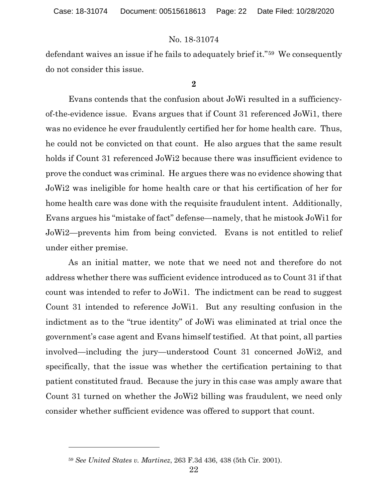defendant waives an issue if he fails to adequately brief it."[59](#page-21-0) We consequently do not consider this issue.

**2**

Evans contends that the confusion about JoWi resulted in a sufficiencyof-the-evidence issue. Evans argues that if Count 31 referenced JoWi1, there was no evidence he ever fraudulently certified her for home health care. Thus, he could not be convicted on that count. He also argues that the same result holds if Count 31 referenced JoWi2 because there was insufficient evidence to prove the conduct was criminal. He argues there was no evidence showing that JoWi2 was ineligible for home health care or that his certification of her for home health care was done with the requisite fraudulent intent. Additionally, Evans argues his "mistake of fact" defense—namely, that he mistook JoWi1 for JoWi2—prevents him from being convicted. Evans is not entitled to relief under either premise.

As an initial matter, we note that we need not and therefore do not address whether there was sufficient evidence introduced as to Count 31 if that count was intended to refer to JoWi1. The indictment can be read to suggest Count 31 intended to reference JoWi1. But any resulting confusion in the indictment as to the "true identity" of JoWi was eliminated at trial once the government's case agent and Evans himself testified. At that point, all parties involved—including the jury—understood Count 31 concerned JoWi2, and specifically, that the issue was whether the certification pertaining to that patient constituted fraud. Because the jury in this case was amply aware that Count 31 turned on whether the JoWi2 billing was fraudulent, we need only consider whether sufficient evidence was offered to support that count.

<span id="page-21-0"></span><sup>59</sup> *See United States v. Martinez*, 263 F.3d 436, 438 (5th Cir. 2001).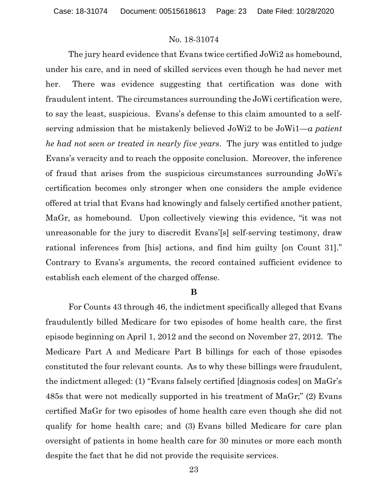The jury heard evidence that Evans twice certified JoWi2 as homebound, under his care, and in need of skilled services even though he had never met her. There was evidence suggesting that certification was done with fraudulent intent. The circumstances surrounding the JoWi certification were, to say the least, suspicious. Evans's defense to this claim amounted to a selfserving admission that he mistakenly believed JoWi2 to be JoWi1—*a patient he had not seen or treated in nearly five years*. The jury was entitled to judge Evans's veracity and to reach the opposite conclusion. Moreover, the inference of fraud that arises from the suspicious circumstances surrounding JoWi's certification becomes only stronger when one considers the ample evidence offered at trial that Evans had knowingly and falsely certified another patient, MaGr, as homebound. Upon collectively viewing this evidence, "it was not unreasonable for the jury to discredit Evans'[s] self-serving testimony, draw rational inferences from [his] actions, and find him guilty [on Count 31]." Contrary to Evans's arguments, the record contained sufficient evidence to establish each element of the charged offense.

#### **B**

For Counts 43 through 46, the indictment specifically alleged that Evans fraudulently billed Medicare for two episodes of home health care, the first episode beginning on April 1, 2012 and the second on November 27, 2012. The Medicare Part A and Medicare Part B billings for each of those episodes constituted the four relevant counts. As to why these billings were fraudulent, the indictment alleged: (1) "Evans falsely certified [diagnosis codes] on MaGr's 485s that were not medically supported in his treatment of MaGr;" (2) Evans certified MaGr for two episodes of home health care even though she did not qualify for home health care; and (3) Evans billed Medicare for care plan oversight of patients in home health care for 30 minutes or more each month despite the fact that he did not provide the requisite services.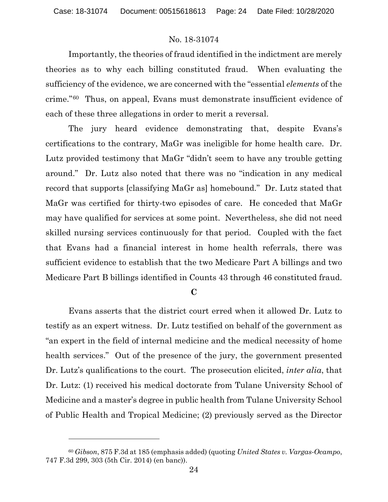Importantly, the theories of fraud identified in the indictment are merely theories as to why each billing constituted fraud. When evaluating the sufficiency of the evidence, we are concerned with the "essential *elements* of the crime."[60](#page-23-0) Thus, on appeal, Evans must demonstrate insufficient evidence of each of these three allegations in order to merit a reversal.

The jury heard evidence demonstrating that, despite Evans's certifications to the contrary, MaGr was ineligible for home health care. Dr. Lutz provided testimony that MaGr "didn't seem to have any trouble getting around." Dr. Lutz also noted that there was no "indication in any medical record that supports [classifying MaGr as] homebound." Dr. Lutz stated that MaGr was certified for thirty-two episodes of care. He conceded that MaGr may have qualified for services at some point. Nevertheless, she did not need skilled nursing services continuously for that period. Coupled with the fact that Evans had a financial interest in home health referrals, there was sufficient evidence to establish that the two Medicare Part A billings and two Medicare Part B billings identified in Counts 43 through 46 constituted fraud.

## **C**

Evans asserts that the district court erred when it allowed Dr. Lutz to testify as an expert witness. Dr. Lutz testified on behalf of the government as "an expert in the field of internal medicine and the medical necessity of home health services." Out of the presence of the jury, the government presented Dr. Lutz's qualifications to the court. The prosecution elicited, *inter alia*, that Dr. Lutz: (1) received his medical doctorate from Tulane University School of Medicine and a master's degree in public health from Tulane University School of Public Health and Tropical Medicine; (2) previously served as the Director

<span id="page-23-0"></span><sup>60</sup> *Gibson*, 875 F.3d at 185 (emphasis added) (quoting *United States v. Vargas-Ocampo*, 747 F.3d 299, 303 (5th Cir. 2014) (en banc)).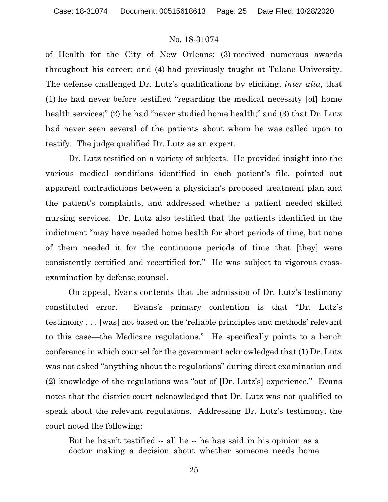of Health for the City of New Orleans; (3) received numerous awards throughout his career; and (4) had previously taught at Tulane University. The defense challenged Dr. Lutz's qualifications by eliciting, *inter alia*, that (1) he had never before testified "regarding the medical necessity [of] home health services;" (2) he had "never studied home health;" and (3) that Dr. Lutz had never seen several of the patients about whom he was called upon to testify. The judge qualified Dr. Lutz as an expert.

Dr. Lutz testified on a variety of subjects. He provided insight into the various medical conditions identified in each patient's file, pointed out apparent contradictions between a physician's proposed treatment plan and the patient's complaints, and addressed whether a patient needed skilled nursing services. Dr. Lutz also testified that the patients identified in the indictment "may have needed home health for short periods of time, but none of them needed it for the continuous periods of time that [they] were consistently certified and recertified for." He was subject to vigorous crossexamination by defense counsel.

On appeal, Evans contends that the admission of Dr. Lutz's testimony constituted error. Evans's primary contention is that "Dr. Lutz's testimony . . . [was] not based on the 'reliable principles and methods' relevant to this case—the Medicare regulations." He specifically points to a bench conference in which counsel for the government acknowledged that (1) Dr. Lutz was not asked "anything about the regulations" during direct examination and (2) knowledge of the regulations was "out of [Dr. Lutz's] experience." Evans notes that the district court acknowledged that Dr. Lutz was not qualified to speak about the relevant regulations. Addressing Dr. Lutz's testimony, the court noted the following:

But he hasn't testified -- all he -- he has said in his opinion as a doctor making a decision about whether someone needs home

25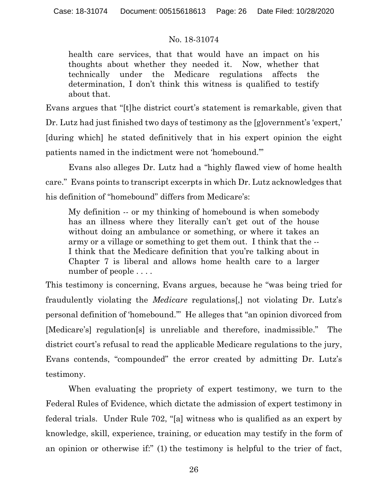health care services, that that would have an impact on his thoughts about whether they needed it. Now, whether that technically under the Medicare regulations affects the determination, I don't think this witness is qualified to testify about that.

Evans argues that "[t]he district court's statement is remarkable, given that Dr. Lutz had just finished two days of testimony as the [g]overnment's 'expert,' [during which] he stated definitively that in his expert opinion the eight patients named in the indictment were not 'homebound.'"

Evans also alleges Dr. Lutz had a "highly flawed view of home health care." Evans points to transcript excerpts in which Dr. Lutz acknowledges that his definition of "homebound" differs from Medicare's:

My definition -- or my thinking of homebound is when somebody has an illness where they literally can't get out of the house without doing an ambulance or something, or where it takes an army or a village or something to get them out. I think that the -- I think that the Medicare definition that you're talking about in Chapter 7 is liberal and allows home health care to a larger number of people ....

This testimony is concerning, Evans argues, because he "was being tried for fraudulently violating the *Medicare* regulations[,] not violating Dr. Lutz's personal definition of 'homebound.'" He alleges that "an opinion divorced from [Medicare's] regulation[s] is unreliable and therefore, inadmissible." The district court's refusal to read the applicable Medicare regulations to the jury, Evans contends, "compounded" the error created by admitting Dr. Lutz's testimony.

When evaluating the propriety of expert testimony, we turn to the Federal Rules of Evidence, which dictate the admission of expert testimony in federal trials. Under Rule 702, "[a] witness who is qualified as an expert by knowledge, skill, experience, training, or education may testify in the form of an opinion or otherwise if:" (1) the testimony is helpful to the trier of fact,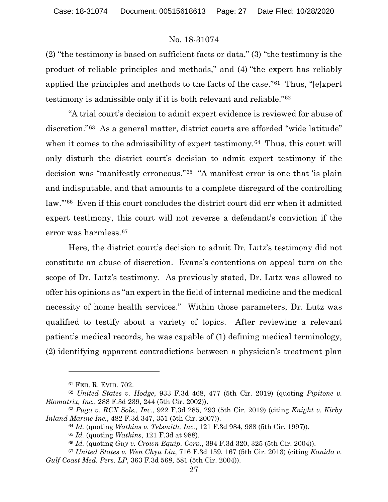(2) "the testimony is based on sufficient facts or data," (3) "the testimony is the product of reliable principles and methods," and (4) "the expert has reliably applied the principles and methods to the facts of the case."[61](#page-26-0) Thus, "[e]xpert testimony is admissible only if it is both relevant and reliable."[62](#page-26-1)

"A trial court's decision to admit expert evidence is reviewed for abuse of discretion."[63](#page-26-2) As a general matter, district courts are afforded "wide latitude" when it comes to the admissibility of expert testimony.<sup>[64](#page-26-3)</sup> Thus, this court will only disturb the district court's decision to admit expert testimony if the decision was "manifestly erroneous."[65](#page-26-4) "A manifest error is one that 'is plain and indisputable, and that amounts to a complete disregard of the controlling law.'"[66](#page-26-5) Even if this court concludes the district court did err when it admitted expert testimony, this court will not reverse a defendant's conviction if the error was harmless.[67](#page-26-6)

Here, the district court's decision to admit Dr. Lutz's testimony did not constitute an abuse of discretion. Evans's contentions on appeal turn on the scope of Dr. Lutz's testimony. As previously stated, Dr. Lutz was allowed to offer his opinions as "an expert in the field of internal medicine and the medical necessity of home health services." Within those parameters, Dr. Lutz was qualified to testify about a variety of topics. After reviewing a relevant patient's medical records, he was capable of (1) defining medical terminology, (2) identifying apparent contradictions between a physician's treatment plan

<sup>61</sup> FED. R. EVID. 702.

<span id="page-26-1"></span><span id="page-26-0"></span><sup>62</sup> *United States v. Hodge*, 933 F.3d 468, 477 (5th Cir. 2019) (quoting *Pipitone v. Biomatrix, Inc.*, 288 F.3d 239, 244 (5th Cir. 2002)).

<span id="page-26-3"></span><span id="page-26-2"></span><sup>63</sup> *Puga v. RCX Sols., Inc.*, 922 F.3d 285, 293 (5th Cir. 2019) (citing *Knight v. Kirby Inland Marine Inc.*, 482 F.3d 347, 351 (5th Cir. 2007)).

<sup>64</sup> *Id.* (quoting *Watkins v. Telsmith, Inc.*, 121 F.3d 984, 988 (5th Cir. 1997)).

<sup>65</sup> *Id.* (quoting *Watkins*, 121 F.3d at 988).

<sup>66</sup> *Id.* (quoting *Guy v. Crown Equip. Corp.*, 394 F.3d 320, 325 (5th Cir. 2004)).

<span id="page-26-6"></span><span id="page-26-5"></span><span id="page-26-4"></span><sup>67</sup> *United States v. Wen Chyu Liu*, 716 F.3d 159, 167 (5th Cir. 2013) (citing *Kanida v. Gulf Coast Med. Pers. LP*, 363 F.3d 568, 581 (5th Cir. 2004)).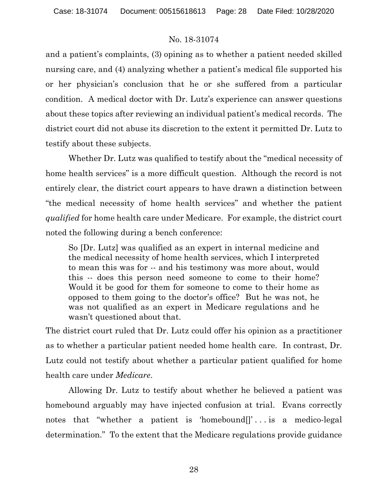and a patient's complaints, (3) opining as to whether a patient needed skilled nursing care, and (4) analyzing whether a patient's medical file supported his or her physician's conclusion that he or she suffered from a particular condition. A medical doctor with Dr. Lutz's experience can answer questions about these topics after reviewing an individual patient's medical records. The district court did not abuse its discretion to the extent it permitted Dr. Lutz to testify about these subjects.

Whether Dr. Lutz was qualified to testify about the "medical necessity of home health services" is a more difficult question. Although the record is not entirely clear, the district court appears to have drawn a distinction between "the medical necessity of home health services" and whether the patient *qualified* for home health care under Medicare. For example, the district court noted the following during a bench conference:

So [Dr. Lutz] was qualified as an expert in internal medicine and the medical necessity of home health services, which I interpreted to mean this was for -- and his testimony was more about, would this -- does this person need someone to come to their home? Would it be good for them for someone to come to their home as opposed to them going to the doctor's office? But he was not, he was not qualified as an expert in Medicare regulations and he wasn't questioned about that.

The district court ruled that Dr. Lutz could offer his opinion as a practitioner as to whether a particular patient needed home health care. In contrast, Dr. Lutz could not testify about whether a particular patient qualified for home health care under *Medicare*.

Allowing Dr. Lutz to testify about whether he believed a patient was homebound arguably may have injected confusion at trial. Evans correctly notes that "whether a patient is 'homebound<sup>[]</sup>'... is a medico-legal determination." To the extent that the Medicare regulations provide guidance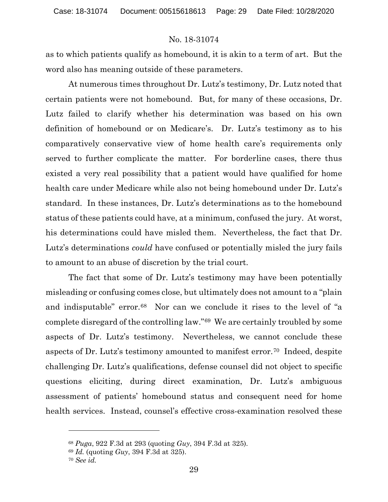as to which patients qualify as homebound, it is akin to a term of art. But the word also has meaning outside of these parameters.

At numerous times throughout Dr. Lutz's testimony, Dr. Lutz noted that certain patients were not homebound. But, for many of these occasions, Dr. Lutz failed to clarify whether his determination was based on his own definition of homebound or on Medicare's. Dr. Lutz's testimony as to his comparatively conservative view of home health care's requirements only served to further complicate the matter. For borderline cases, there thus existed a very real possibility that a patient would have qualified for home health care under Medicare while also not being homebound under Dr. Lutz's standard. In these instances, Dr. Lutz's determinations as to the homebound status of these patients could have, at a minimum, confused the jury. At worst, his determinations could have misled them. Nevertheless, the fact that Dr. Lutz's determinations *could* have confused or potentially misled the jury fails to amount to an abuse of discretion by the trial court.

The fact that some of Dr. Lutz's testimony may have been potentially misleading or confusing comes close, but ultimately does not amount to a "plain and indisputable" error.<sup>68</sup> Nor can we conclude it rises to the level of "a complete disregard of the controlling law."[69](#page-28-1) We are certainly troubled by some aspects of Dr. Lutz's testimony. Nevertheless, we cannot conclude these aspects of Dr. Lutz's testimony amounted to manifest error.[70](#page-28-2) Indeed, despite challenging Dr. Lutz's qualifications, defense counsel did not object to specific questions eliciting, during direct examination, Dr. Lutz's ambiguous assessment of patients' homebound status and consequent need for home health services. Instead, counsel's effective cross-examination resolved these

<span id="page-28-1"></span><span id="page-28-0"></span><sup>68</sup> *Puga*, 922 F.3d at 293 (quoting *Guy*, 394 F.3d at 325).

<sup>69</sup> *Id.* (quoting *Guy*, 394 F.3d at 325).

<span id="page-28-2"></span><sup>70</sup> *See id.*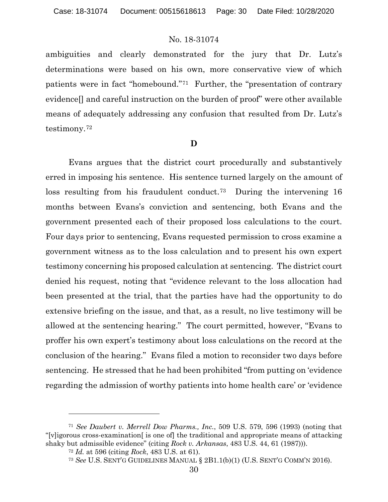ambiguities and clearly demonstrated for the jury that Dr. Lutz's determinations were based on his own, more conservative view of which patients were in fact "homebound."[71](#page-29-0) Further, the "presentation of contrary evidence[] and careful instruction on the burden of proof" were other available means of adequately addressing any confusion that resulted from Dr. Lutz's testimony.[72](#page-29-1)

#### **D**

Evans argues that the district court procedurally and substantively erred in imposing his sentence. His sentence turned largely on the amount of loss resulting from his fraudulent conduct.[73](#page-29-2) During the intervening 16 months between Evans's conviction and sentencing, both Evans and the government presented each of their proposed loss calculations to the court. Four days prior to sentencing, Evans requested permission to cross examine a government witness as to the loss calculation and to present his own expert testimony concerning his proposed calculation at sentencing. The district court denied his request, noting that "evidence relevant to the loss allocation had been presented at the trial, that the parties have had the opportunity to do extensive briefing on the issue, and that, as a result, no live testimony will be allowed at the sentencing hearing." The court permitted, however, "Evans to proffer his own expert's testimony about loss calculations on the record at the conclusion of the hearing." Evans filed a motion to reconsider two days before sentencing. He stressed that he had been prohibited "from putting on 'evidence regarding the admission of worthy patients into home health care' or 'evidence

<span id="page-29-2"></span><span id="page-29-1"></span><span id="page-29-0"></span><sup>71</sup> *See Daubert v. Merrell Dow Pharms., Inc.*, 509 U.S. 579, 596 (1993) (noting that "[v]igorous cross-examination[ is one of] the traditional and appropriate means of attacking shaky but admissible evidence" (citing *Rock v. Arkansas*, 483 U.S. 44, 61 (1987))).

<sup>72</sup> *Id.* at 596 (citing *Rock*, 483 U.S. at 61).

<sup>73</sup> *See* U.S. SENT'G GUIDELINES MANUAL § 2B1.1(b)(1) (U.S. SENT'G COMM'N 2016).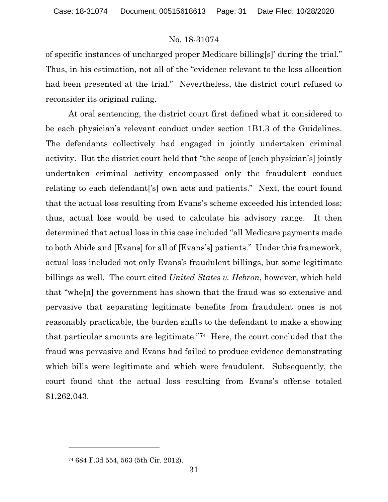of specific instances of uncharged proper Medicare billing[s]' during the trial." Thus, in his estimation, not all of the "evidence relevant to the loss allocation had been presented at the trial." Nevertheless, the district court refused to reconsider its original ruling.

At oral sentencing, the district court first defined what it considered to be each physician's relevant conduct under section 1B1.3 of the Guidelines. The defendants collectively had engaged in jointly undertaken criminal activity. But the district court held that "the scope of [each physician's] jointly undertaken criminal activity encompassed only the fraudulent conduct relating to each defendant['s] own acts and patients." Next, the court found that the actual loss resulting from Evans's scheme exceeded his intended loss; thus, actual loss would be used to calculate his advisory range. It then determined that actual loss in this case included "all Medicare payments made to both Abide and [Evans] for all of [Evans's] patients." Under this framework, actual loss included not only Evans's fraudulent billings, but some legitimate billings as well. The court cited *United States v. Hebron*, however, which held that "whe[n] the government has shown that the fraud was so extensive and pervasive that separating legitimate benefits from fraudulent ones is not reasonably practicable, the burden shifts to the defendant to make a showing that particular amounts are legitimate."[74](#page-30-0) Here, the court concluded that the fraud was pervasive and Evans had failed to produce evidence demonstrating which bills were legitimate and which were fraudulent. Subsequently, the court found that the actual loss resulting from Evans's offense totaled \$1,262,043.

<span id="page-30-0"></span><sup>74</sup> 684 F.3d 554, 563 (5th Cir. 2012).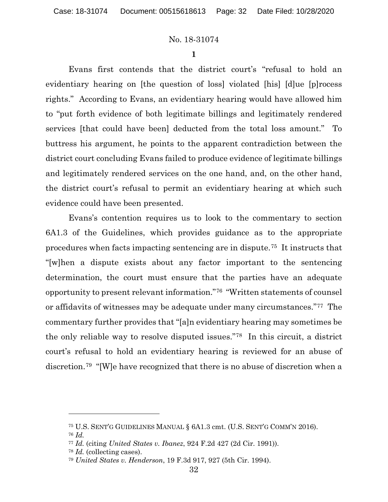**1**

Evans first contends that the district court's "refusal to hold an evidentiary hearing on [the question of loss] violated [his] [d]ue [p]rocess rights." According to Evans, an evidentiary hearing would have allowed him to "put forth evidence of both legitimate billings and legitimately rendered services [that could have been] deducted from the total loss amount." To buttress his argument, he points to the apparent contradiction between the district court concluding Evans failed to produce evidence of legitimate billings and legitimately rendered services on the one hand, and, on the other hand, the district court's refusal to permit an evidentiary hearing at which such evidence could have been presented.

Evans's contention requires us to look to the commentary to section 6A1.3 of the Guidelines, which provides guidance as to the appropriate procedures when facts impacting sentencing are in dispute.[75](#page-31-0) It instructs that "[w]hen a dispute exists about any factor important to the sentencing determination, the court must ensure that the parties have an adequate opportunity to present relevant information."[76](#page-31-1) "Written statements of counsel or affidavits of witnesses may be adequate under many circumstances."[77](#page-31-2) The commentary further provides that "[a]n evidentiary hearing may sometimes be the only reliable way to resolve disputed issues."[78](#page-31-3) In this circuit, a district court's refusal to hold an evidentiary hearing is reviewed for an abuse of discretion.[79](#page-31-4) "[W]e have recognized that there is no abuse of discretion when a

<span id="page-31-0"></span><sup>75</sup> U.S. SENT'G GUIDELINES MANUAL § 6A1.3 cmt. (U.S. SENT'G COMM'N 2016).

<span id="page-31-1"></span><sup>76</sup> *Id.*

<span id="page-31-2"></span><sup>77</sup> *Id.* (citing *United States v. Ibanez*, 924 F.2d 427 (2d Cir. 1991)).

<span id="page-31-3"></span><sup>78</sup> *Id.* (collecting cases).

<span id="page-31-4"></span><sup>79</sup> *United States v. Henderson*, 19 F.3d 917, 927 (5th Cir. 1994).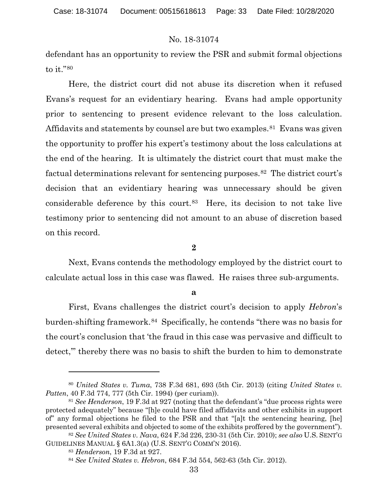defendant has an opportunity to review the PSR and submit formal objections to it."[80](#page-32-0)

Here, the district court did not abuse its discretion when it refused Evans's request for an evidentiary hearing. Evans had ample opportunity prior to sentencing to present evidence relevant to the loss calculation. Affidavits and statements by counsel are but two examples.<sup>81</sup> Evans was given the opportunity to proffer his expert's testimony about the loss calculations at the end of the hearing. It is ultimately the district court that must make the factual determinations relevant for sentencing purposes.[82](#page-32-2) The district court's decision that an evidentiary hearing was unnecessary should be given considerable deference by this court.[83](#page-32-3) Here, its decision to not take live testimony prior to sentencing did not amount to an abuse of discretion based on this record.

**2**

Next, Evans contends the methodology employed by the district court to calculate actual loss in this case was flawed. He raises three sub-arguments.

**a**

First, Evans challenges the district court's decision to apply *Hebron*'s burden-shifting framework.[84](#page-32-4) Specifically, he contends "there was no basis for the court's conclusion that 'the fraud in this case was pervasive and difficult to detect,'" thereby there was no basis to shift the burden to him to demonstrate

<span id="page-32-0"></span><sup>80</sup> *United States v. Tuma*, 738 F.3d 681, 693 (5th Cir. 2013) (citing *United States v. Patten*, 40 F.3d 774, 777 (5th Cir. 1994) (per curiam)).

<span id="page-32-1"></span><sup>81</sup> *See Henderson*, 19 F.3d at 927 (noting that the defendant's "due process rights were protected adequately" because "[h]e could have filed affidavits and other exhibits in support of" any formal objections he filed to the PSR and that "[a]t the sentencing hearing, [he] presented several exhibits and objected to some of the exhibits proffered by the government").

<span id="page-32-4"></span><span id="page-32-3"></span><span id="page-32-2"></span><sup>82</sup> *See United States v. Nava*, 624 F.3d 226, 230-31 (5th Cir. 2010); *see also* U.S. SENT'G GUIDELINES MANUAL § 6A1.3(a) (U.S. SENT'G COMM'N 2016).

<sup>83</sup> *Henderson*, 19 F.3d at 927.

<sup>84</sup> *See United States v. Hebron*, 684 F.3d 554, 562-63 (5th Cir. 2012).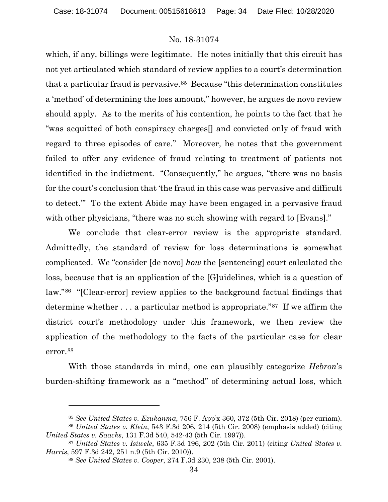which, if any, billings were legitimate. He notes initially that this circuit has not yet articulated which standard of review applies to a court's determination that a particular fraud is pervasive.<sup>[85](#page-33-0)</sup> Because "this determination constitutes" a 'method' of determining the loss amount," however, he argues de novo review should apply. As to the merits of his contention, he points to the fact that he "was acquitted of both conspiracy charges[] and convicted only of fraud with regard to three episodes of care." Moreover, he notes that the government failed to offer any evidence of fraud relating to treatment of patients not identified in the indictment. "Consequently," he argues, "there was no basis for the court's conclusion that 'the fraud in this case was pervasive and difficult to detect.'" To the extent Abide may have been engaged in a pervasive fraud with other physicians, "there was no such showing with regard to [Evans]."

We conclude that clear-error review is the appropriate standard. Admittedly, the standard of review for loss determinations is somewhat complicated. We "consider [de novo] *how* the [sentencing] court calculated the loss, because that is an application of the [G]uidelines, which is a question of law."[86](#page-33-1) "[Clear-error] review applies to the background factual findings that determine whether . . . a particular method is appropriate."[87](#page-33-2) If we affirm the district court's methodology under this framework, we then review the application of the methodology to the facts of the particular case for clear error.[88](#page-33-3)

With those standards in mind, one can plausibly categorize *Hebron*'s burden-shifting framework as a "method" of determining actual loss, which

<sup>85</sup> *See United States v. Ezukanma*, 756 F. App'x 360, 372 (5th Cir. 2018) (per curiam).

<span id="page-33-1"></span><span id="page-33-0"></span><sup>86</sup> *United States v. Klein*, 543 F.3d 206, 214 (5th Cir. 2008) (emphasis added) (citing *United States v. Saacks*, 131 F.3d 540, 542-43 (5th Cir. 1997)).

<span id="page-33-3"></span><span id="page-33-2"></span><sup>87</sup> *United States v. Isiwele*, 635 F.3d 196, 202 (5th Cir. 2011) (citing *United States v. Harris*, 597 F.3d 242, 251 n.9 (5th Cir. 2010)).

<sup>88</sup> *See United States v. Cooper*, 274 F.3d 230, 238 (5th Cir. 2001).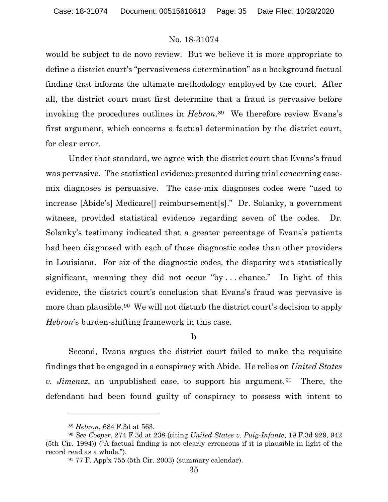would be subject to de novo review. But we believe it is more appropriate to define a district court's "pervasiveness determination" as a background factual finding that informs the ultimate methodology employed by the court. After all, the district court must first determine that a fraud is pervasive before invoking the procedures outlines in *Hebron*.<sup>89</sup> We therefore review Evans's first argument, which concerns a factual determination by the district court, for clear error.

Under that standard, we agree with the district court that Evans's fraud was pervasive. The statistical evidence presented during trial concerning casemix diagnoses is persuasive. The case-mix diagnoses codes were "used to increase [Abide's] Medicare[] reimbursement[s]." Dr. Solanky, a government witness, provided statistical evidence regarding seven of the codes. Dr. Solanky's testimony indicated that a greater percentage of Evans's patients had been diagnosed with each of those diagnostic codes than other providers in Louisiana. For six of the diagnostic codes, the disparity was statistically significant, meaning they did not occur "by . . . chance." In light of this evidence, the district court's conclusion that Evans's fraud was pervasive is more than plausible.<sup>[90](#page-34-1)</sup> We will not disturb the district court's decision to apply *Hebron*'s burden-shifting framework in this case.

## **b**

Second, Evans argues the district court failed to make the requisite findings that he engaged in a conspiracy with Abide. He relies on *United States v. Jimenez*, an unpublished case, to support his argument.[91](#page-34-2) There, the defendant had been found guilty of conspiracy to possess with intent to

<sup>89</sup> *Hebron*, 684 F.3d at 563.

<span id="page-34-2"></span><span id="page-34-1"></span><span id="page-34-0"></span><sup>90</sup> *See Cooper*, 274 F.3d at 238 (citing *United States v. Puig-Infante*, 19 F.3d 929, 942 (5th Cir. 1994)) ("A factual finding is not clearly erroneous if it is plausible in light of the record read as a whole.").

<sup>91</sup> 77 F. App'x 755 (5th Cir. 2003) (summary calendar).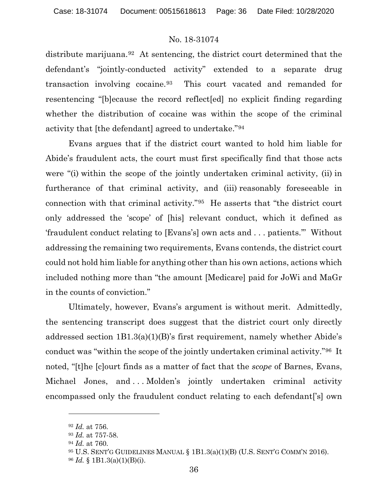distribute marijuana.<sup>[92](#page-35-0)</sup> At sentencing, the district court determined that the defendant's "jointly-conducted activity" extended to a separate drug transaction involving cocaine.[93](#page-35-1) This court vacated and remanded for resentencing "[b]ecause the record reflect[ed] no explicit finding regarding whether the distribution of cocaine was within the scope of the criminal activity that [the defendant] agreed to undertake."[94](#page-35-2)

Evans argues that if the district court wanted to hold him liable for Abide's fraudulent acts, the court must first specifically find that those acts were "(i) within the scope of the jointly undertaken criminal activity, (ii) in furtherance of that criminal activity, and (iii) reasonably foreseeable in connection with that criminal activity."[95](#page-35-3) He asserts that "the district court only addressed the 'scope' of [his] relevant conduct, which it defined as 'fraudulent conduct relating to [Evans's] own acts and . . . patients.'" Without addressing the remaining two requirements, Evans contends, the district court could not hold him liable for anything other than his own actions, actions which included nothing more than "the amount [Medicare] paid for JoWi and MaGr in the counts of conviction."

Ultimately, however, Evans's argument is without merit. Admittedly, the sentencing transcript does suggest that the district court only directly addressed section 1B1.3(a)(1)(B)'s first requirement, namely whether Abide's conduct was "within the scope of the jointly undertaken criminal activity."[96](#page-35-4) It noted, "[t]he [c]ourt finds as a matter of fact that the *scope* of Barnes, Evans, Michael Jones, and ... Molden's jointly undertaken criminal activity encompassed only the fraudulent conduct relating to each defendant['s] own

<span id="page-35-0"></span><sup>92</sup> *Id.* at 756.

<span id="page-35-2"></span><span id="page-35-1"></span><sup>93</sup> *Id.* at 757-58.

<sup>94</sup> *Id.* at 760.

<span id="page-35-3"></span> $95$  U.S. SENT'G GUIDELINES MANUAL §  $1B1.3(a)(1)(B)$  (U.S. SENT'G COMM'N 2016).

<span id="page-35-4"></span><sup>96</sup> *Id.* § 1B1.3(a)(1)(B)(i).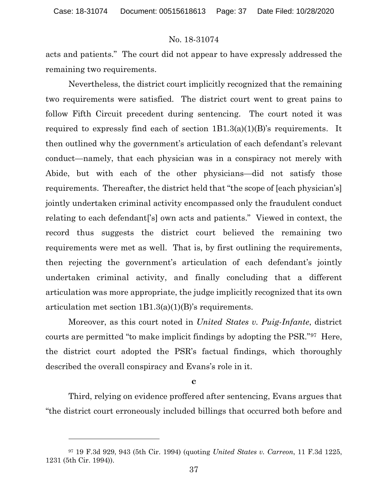acts and patients." The court did not appear to have expressly addressed the remaining two requirements.

Nevertheless, the district court implicitly recognized that the remaining two requirements were satisfied. The district court went to great pains to follow Fifth Circuit precedent during sentencing. The court noted it was required to expressly find each of section  $1B1.3(a)(1)(B)$ 's requirements. It then outlined why the government's articulation of each defendant's relevant conduct—namely, that each physician was in a conspiracy not merely with Abide, but with each of the other physicians—did not satisfy those requirements. Thereafter, the district held that "the scope of [each physician's] jointly undertaken criminal activity encompassed only the fraudulent conduct relating to each defendant['s] own acts and patients." Viewed in context, the record thus suggests the district court believed the remaining two requirements were met as well. That is, by first outlining the requirements, then rejecting the government's articulation of each defendant's jointly undertaken criminal activity, and finally concluding that a different articulation was more appropriate, the judge implicitly recognized that its own articulation met section 1B1.3(a)(1)(B)'s requirements.

Moreover, as this court noted in *United States v. Puig-Infante*, district courts are permitted "to make implicit findings by adopting the PSR."[97](#page-36-0) Here, the district court adopted the PSR's factual findings, which thoroughly described the overall conspiracy and Evans's role in it.

#### **c**

Third, relying on evidence proffered after sentencing, Evans argues that "the district court erroneously included billings that occurred both before and

<span id="page-36-0"></span><sup>97</sup> 19 F.3d 929, 943 (5th Cir. 1994) (quoting *United States v. Carreon*, 11 F.3d 1225, 1231 (5th Cir. 1994)).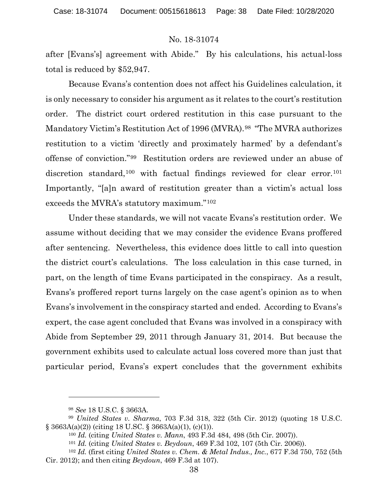after [Evans's] agreement with Abide." By his calculations, his actual-loss total is reduced by \$52,947.

Because Evans's contention does not affect his Guidelines calculation, it is only necessary to consider his argument as it relates to the court's restitution order. The district court ordered restitution in this case pursuant to the Mandatory Victim's Restitution Act of 1996 (MVRA).<sup>[98](#page-37-0)</sup> "The MVRA authorizes" restitution to a victim 'directly and proximately harmed' by a defendant's offense of conviction."[99](#page-37-1) Restitution orders are reviewed under an abuse of discretion standard,<sup>[100](#page-37-2)</sup> with factual findings reviewed for clear error.<sup>[101](#page-37-3)</sup> Importantly, "[a]n award of restitution greater than a victim's actual loss exceeds the MVRA's statutory maximum."[102](#page-37-4) 

Under these standards, we will not vacate Evans's restitution order. We assume without deciding that we may consider the evidence Evans proffered after sentencing. Nevertheless, this evidence does little to call into question the district court's calculations. The loss calculation in this case turned, in part, on the length of time Evans participated in the conspiracy. As a result, Evans's proffered report turns largely on the case agent's opinion as to when Evans's involvement in the conspiracy started and ended. According to Evans's expert, the case agent concluded that Evans was involved in a conspiracy with Abide from September 29, 2011 through January 31, 2014. But because the government exhibits used to calculate actual loss covered more than just that particular period, Evans's expert concludes that the government exhibits

<sup>98</sup> *See* 18 U.S.C. § 3663A.

<span id="page-37-2"></span><span id="page-37-1"></span><span id="page-37-0"></span><sup>99</sup> *United States v. Sharma*, 703 F.3d 318, 322 (5th Cir. 2012) (quoting 18 U.S.C. § 3663A(a)(2)) (citing 18 U.SC. § 3663A(a)(1), (c)(1)).

<sup>100</sup> *Id.* (citing *United States v. Mann*, 493 F.3d 484, 498 (5th Cir. 2007)).

<sup>101</sup> *Id.* (citing *United States v. Beydoun*, 469 F.3d 102, 107 (5th Cir. 2006)).

<span id="page-37-4"></span><span id="page-37-3"></span><sup>102</sup> *Id.* (first citing *United States v. Chem. & Metal Indus., Inc.*, 677 F.3d 750, 752 (5th Cir. 2012); and then citing *Beydoun*, 469 F.3d at 107).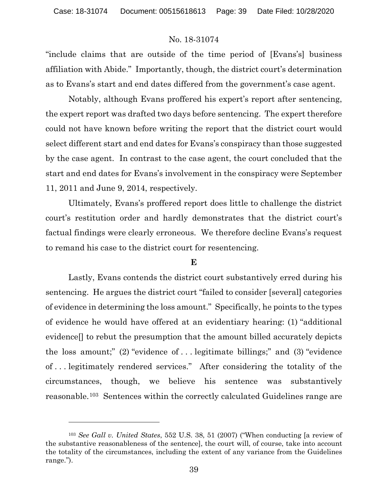"include claims that are outside of the time period of [Evans's] business affiliation with Abide." Importantly, though, the district court's determination as to Evans's start and end dates differed from the government's case agent.

Notably, although Evans proffered his expert's report after sentencing, the expert report was drafted two days before sentencing. The expert therefore could not have known before writing the report that the district court would select different start and end dates for Evans's conspiracy than those suggested by the case agent. In contrast to the case agent, the court concluded that the start and end dates for Evans's involvement in the conspiracy were September 11, 2011 and June 9, 2014, respectively.

Ultimately, Evans's proffered report does little to challenge the district court's restitution order and hardly demonstrates that the district court's factual findings were clearly erroneous. We therefore decline Evans's request to remand his case to the district court for resentencing.

## **E**

Lastly, Evans contends the district court substantively erred during his sentencing. He argues the district court "failed to consider [several] categories of evidence in determining the loss amount." Specifically, he points to the types of evidence he would have offered at an evidentiary hearing: (1) "additional evidence[] to rebut the presumption that the amount billed accurately depicts the loss amount;" (2) "evidence of . . . legitimate billings;" and (3) "evidence of . . . legitimately rendered services." After considering the totality of the circumstances, though, we believe his sentence was substantively reasonable.[103](#page-38-0) Sentences within the correctly calculated Guidelines range are

<span id="page-38-0"></span><sup>103</sup> *See Gall v. United States*, 552 U.S. 38, 51 (2007) ("When conducting [a review of the substantive reasonableness of the sentence], the court will, of course, take into account the totality of the circumstances, including the extent of any variance from the Guidelines range.").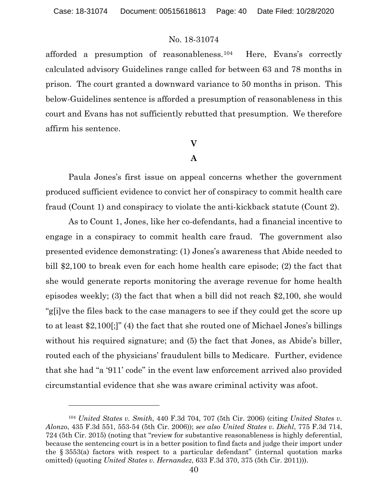afforded a presumption of reasonableness.[104](#page-39-0) Here, Evans's correctly calculated advisory Guidelines range called for between 63 and 78 months in prison. The court granted a downward variance to 50 months in prison. This below-Guidelines sentence is afforded a presumption of reasonableness in this court and Evans has not sufficiently rebutted that presumption. We therefore affirm his sentence.

# **V**

# **A**

Paula Jones's first issue on appeal concerns whether the government produced sufficient evidence to convict her of conspiracy to commit health care fraud (Count 1) and conspiracy to violate the anti-kickback statute (Count 2).

As to Count 1, Jones, like her co-defendants, had a financial incentive to engage in a conspiracy to commit health care fraud. The government also presented evidence demonstrating: (1) Jones's awareness that Abide needed to bill \$2,100 to break even for each home health care episode; (2) the fact that she would generate reports monitoring the average revenue for home health episodes weekly; (3) the fact that when a bill did not reach \$2,100, she would "g[i]ve the files back to the case managers to see if they could get the score up to at least \$2,100[;]" (4) the fact that she routed one of Michael Jones's billings without his required signature; and  $(5)$  the fact that Jones, as Abide's biller, routed each of the physicians' fraudulent bills to Medicare. Further, evidence that she had "a '911' code" in the event law enforcement arrived also provided circumstantial evidence that she was aware criminal activity was afoot.

<span id="page-39-0"></span><sup>104</sup> *United States v. Smith*, 440 F.3d 704, 707 (5th Cir. 2006) (citing *United States v. Alonzo*, 435 F.3d 551, 553-54 (5th Cir. 2006)); *see also United States v. Diehl*, 775 F.3d 714, 724 (5th Cir. 2015) (noting that "review for substantive reasonableness is highly deferential, because the sentencing court is in a better position to find facts and judge their import under the § 3553(a) factors with respect to a particular defendant" (internal quotation marks omitted) (quoting *United States v. Hernandez*, 633 F.3d 370, 375 (5th Cir. 2011))).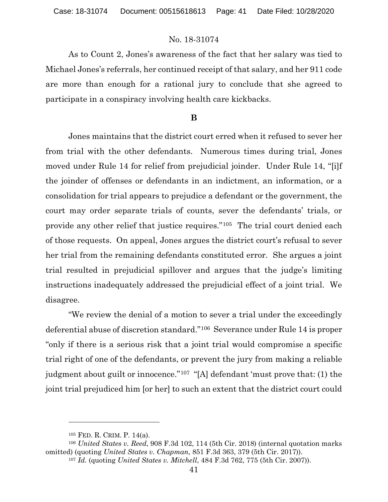As to Count 2, Jones's awareness of the fact that her salary was tied to Michael Jones's referrals, her continued receipt of that salary, and her 911 code are more than enough for a rational jury to conclude that she agreed to participate in a conspiracy involving health care kickbacks.

#### **B**

Jones maintains that the district court erred when it refused to sever her from trial with the other defendants. Numerous times during trial, Jones moved under Rule 14 for relief from prejudicial joinder. Under Rule 14, "[i]f the joinder of offenses or defendants in an indictment, an information, or a consolidation for trial appears to prejudice a defendant or the government, the court may order separate trials of counts, sever the defendants' trials, or provide any other relief that justice requires."[105](#page-40-0) The trial court denied each of those requests. On appeal, Jones argues the district court's refusal to sever her trial from the remaining defendants constituted error. She argues a joint trial resulted in prejudicial spillover and argues that the judge's limiting instructions inadequately addressed the prejudicial effect of a joint trial. We disagree.

"We review the denial of a motion to sever a trial under the exceedingly deferential abuse of discretion standard."[106](#page-40-1) Severance under Rule 14 is proper "only if there is a serious risk that a joint trial would compromise a specific trial right of one of the defendants, or prevent the jury from making a reliable judgment about guilt or innocence."[107](#page-40-2) "[A] defendant 'must prove that: (1) the joint trial prejudiced him [or her] to such an extent that the district court could

<sup>105</sup> FED. R. CRIM. P. 14(a).

<span id="page-40-2"></span><span id="page-40-1"></span><span id="page-40-0"></span><sup>106</sup> *United States v. Reed*, 908 F.3d 102, 114 (5th Cir. 2018) (internal quotation marks omitted) (quoting *United States v. Chapman*, 851 F.3d 363, 379 (5th Cir. 2017)).

<sup>107</sup> *Id.* (quoting *United States v. Mitchell*, 484 F.3d 762, 775 (5th Cir. 2007)).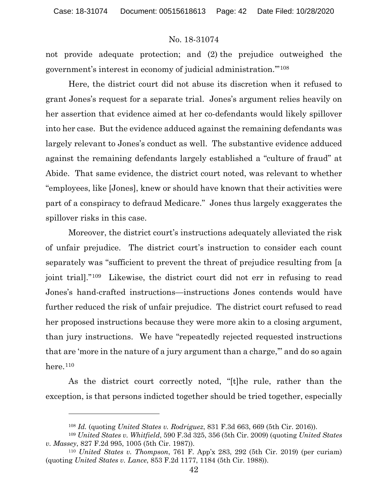not provide adequate protection; and (2) the prejudice outweighed the government's interest in economy of judicial administration.'"[108](#page-41-0)

Here, the district court did not abuse its discretion when it refused to grant Jones's request for a separate trial. Jones's argument relies heavily on her assertion that evidence aimed at her co-defendants would likely spillover into her case. But the evidence adduced against the remaining defendants was largely relevant to Jones's conduct as well. The substantive evidence adduced against the remaining defendants largely established a "culture of fraud" at Abide. That same evidence, the district court noted, was relevant to whether "employees, like [Jones], knew or should have known that their activities were part of a conspiracy to defraud Medicare." Jones thus largely exaggerates the spillover risks in this case.

Moreover, the district court's instructions adequately alleviated the risk of unfair prejudice. The district court's instruction to consider each count separately was "sufficient to prevent the threat of prejudice resulting from [a joint trial]."[109](#page-41-1) Likewise, the district court did not err in refusing to read Jones's hand-crafted instructions—instructions Jones contends would have further reduced the risk of unfair prejudice. The district court refused to read her proposed instructions because they were more akin to a closing argument, than jury instructions. We have "repeatedly rejected requested instructions that are 'more in the nature of a jury argument than a charge,'" and do so again here. $110$ 

As the district court correctly noted, "[t]he rule, rather than the exception, is that persons indicted together should be tried together, especially

<sup>108</sup> *Id.* (quoting *United States v. Rodriguez*, 831 F.3d 663, 669 (5th Cir. 2016)).

<span id="page-41-1"></span><span id="page-41-0"></span><sup>109</sup> *United States v. Whitfield*, 590 F.3d 325, 356 (5th Cir. 2009) (quoting *United States v. Massey*, 827 F.2d 995, 1005 (5th Cir. 1987)).

<span id="page-41-2"></span><sup>110</sup> *United States v. Thompson*, 761 F. App'x 283, 292 (5th Cir. 2019) (per curiam) (quoting *United States v. Lance*, 853 F.2d 1177, 1184 (5th Cir. 1988)).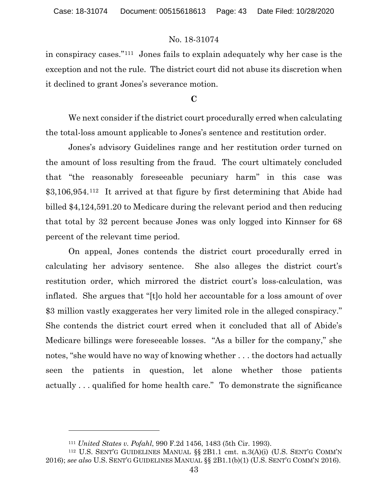in conspiracy cases."[111](#page-42-0) Jones fails to explain adequately why her case is the exception and not the rule. The district court did not abuse its discretion when it declined to grant Jones's severance motion.

## **C**

We next consider if the district court procedurally erred when calculating the total-loss amount applicable to Jones's sentence and restitution order.

Jones's advisory Guidelines range and her restitution order turned on the amount of loss resulting from the fraud. The court ultimately concluded that "the reasonably foreseeable pecuniary harm" in this case was \$3,106,954.[112](#page-42-1) It arrived at that figure by first determining that Abide had billed \$4,124,591.20 to Medicare during the relevant period and then reducing that total by 32 percent because Jones was only logged into Kinnser for 68 percent of the relevant time period.

On appeal, Jones contends the district court procedurally erred in calculating her advisory sentence. She also alleges the district court's restitution order, which mirrored the district court's loss-calculation, was inflated. She argues that "[t]o hold her accountable for a loss amount of over \$3 million vastly exaggerates her very limited role in the alleged conspiracy." She contends the district court erred when it concluded that all of Abide's Medicare billings were foreseeable losses. "As a biller for the company," she notes, "she would have no way of knowing whether . . . the doctors had actually seen the patients in question, let alone whether those patients actually . . . qualified for home health care." To demonstrate the significance

<sup>111</sup> *United States v. Pofahl*, 990 F.2d 1456, 1483 (5th Cir. 1993).

<span id="page-42-1"></span><span id="page-42-0"></span><sup>112</sup> U.S. SENT'G GUIDELINES MANUAL §§ 2B1.1 cmt. n.3(A)(i) (U.S. SENT'G COMM'N 2016); *see also* U.S. SENT'G GUIDELINES MANUAL §§ 2B1.1(b)(1) (U.S. SENT'G COMM'N 2016).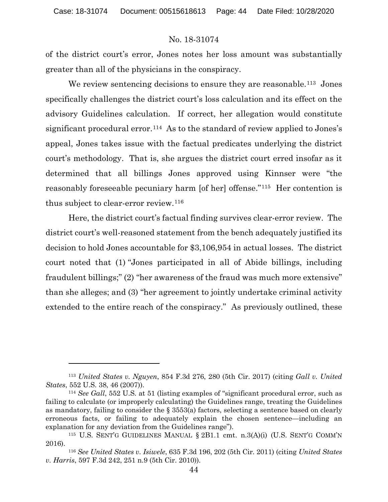of the district court's error, Jones notes her loss amount was substantially greater than all of the physicians in the conspiracy.

We review sentencing decisions to ensure they are reasonable.<sup>113</sup> Jones specifically challenges the district court's loss calculation and its effect on the advisory Guidelines calculation. If correct, her allegation would constitute significant procedural error.<sup>114</sup> As to the standard of review applied to Jones's appeal, Jones takes issue with the factual predicates underlying the district court's methodology. That is, she argues the district court erred insofar as it determined that all billings Jones approved using Kinnser were "the reasonably foreseeable pecuniary harm [of her] offense."[115](#page-43-2) Her contention is thus subject to clear-error review.[116](#page-43-3)

Here, the district court's factual finding survives clear-error review. The district court's well-reasoned statement from the bench adequately justified its decision to hold Jones accountable for \$3,106,954 in actual losses. The district court noted that (1) "Jones participated in all of Abide billings, including fraudulent billings;" (2) "her awareness of the fraud was much more extensive" than she alleges; and (3) "her agreement to jointly undertake criminal activity extended to the entire reach of the conspiracy." As previously outlined, these

<span id="page-43-0"></span><sup>113</sup> *United States v. Nguyen*, 854 F.3d 276, 280 (5th Cir. 2017) (citing *Gall v. United States*, 552 U.S. 38, 46 (2007)).

<span id="page-43-1"></span><sup>114</sup> *See Gall*, 552 U.S. at 51 (listing examples of "significant procedural error, such as failing to calculate (or improperly calculating) the Guidelines range, treating the Guidelines as mandatory, failing to consider the  $\S$  3553(a) factors, selecting a sentence based on clearly erroneous facts, or failing to adequately explain the chosen sentence—including an explanation for any deviation from the Guidelines range").

<span id="page-43-2"></span><sup>115</sup> U.S. SENT'G GUIDELINES MANUAL § 2B1.1 cmt. n.3(A)(i) (U.S. SENT'G COMM'N 2016).

<span id="page-43-3"></span><sup>116</sup> *See United States v. Isiwele*, 635 F.3d 196, 202 (5th Cir. 2011) (citing *United States v. Harris*, 597 F.3d 242, 251 n.9 (5th Cir. 2010)).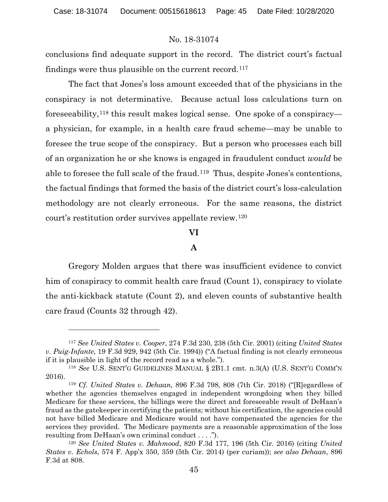conclusions find adequate support in the record. The district court's factual findings were thus plausible on the current record.<sup>117</sup>

The fact that Jones's loss amount exceeded that of the physicians in the conspiracy is not determinative. Because actual loss calculations turn on foreseeability,[118](#page-44-1) this result makes logical sense. One spoke of a conspiracy a physician, for example, in a health care fraud scheme—may be unable to foresee the true scope of the conspiracy. But a person who processes each bill of an organization he or she knows is engaged in fraudulent conduct *would* be able to foresee the full scale of the fraud.[119](#page-44-2) Thus, despite Jones's contentions, the factual findings that formed the basis of the district court's loss-calculation methodology are not clearly erroneous. For the same reasons, the district court's restitution order survives appellate review.[120](#page-44-3)

### **VI**

## **A**

Gregory Molden argues that there was insufficient evidence to convict him of conspiracy to commit health care fraud (Count 1), conspiracy to violate the anti-kickback statute (Count 2), and eleven counts of substantive health care fraud (Counts 32 through 42).

<span id="page-44-0"></span><sup>117</sup> *See United States v. Cooper*, 274 F.3d 230, 238 (5th Cir. 2001) (citing *United States v. Puig-Infante*, 19 F.3d 929, 942 (5th Cir. 1994)) ("A factual finding is not clearly erroneous if it is plausible in light of the record read as a whole.").

<span id="page-44-1"></span><sup>118</sup> *See* U.S. SENT'G GUIDELINES MANUAL § 2B1.1 cmt. n.3(A) (U.S. SENT'G COMM'N 2016).

<span id="page-44-2"></span><sup>119</sup> *Cf. United States v. Dehaan*, 896 F.3d 798, 808 (7th Cir. 2018) ("[R]egardless of whether the agencies themselves engaged in independent wrongdoing when they billed Medicare for these services, the billings were the direct and foreseeable result of DeHaan's fraud as the gatekeeper in certifying the patients; without his certification, the agencies could not have billed Medicare and Medicare would not have compensated the agencies for the services they provided. The Medicare payments are a reasonable approximation of the loss resulting from DeHaan's own criminal conduct . . . .").

<span id="page-44-3"></span><sup>120</sup> *See United States v. Mahmood*, 820 F.3d 177, 196 (5th Cir. 2016) (citing *United States v. Echols*, 574 F. App'x 350, 359 (5th Cir. 2014) (per curiam)); *see also Dehaan*, 896 F.3d at 808.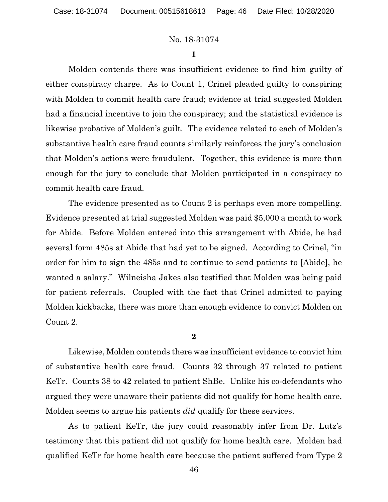**1**

Molden contends there was insufficient evidence to find him guilty of either conspiracy charge. As to Count 1, Crinel pleaded guilty to conspiring with Molden to commit health care fraud; evidence at trial suggested Molden had a financial incentive to join the conspiracy; and the statistical evidence is likewise probative of Molden's guilt. The evidence related to each of Molden's substantive health care fraud counts similarly reinforces the jury's conclusion that Molden's actions were fraudulent. Together, this evidence is more than enough for the jury to conclude that Molden participated in a conspiracy to commit health care fraud.

The evidence presented as to Count 2 is perhaps even more compelling. Evidence presented at trial suggested Molden was paid \$5,000 a month to work for Abide. Before Molden entered into this arrangement with Abide, he had several form 485s at Abide that had yet to be signed. According to Crinel, "in order for him to sign the 485s and to continue to send patients to [Abide], he wanted a salary." Wilneisha Jakes also testified that Molden was being paid for patient referrals. Coupled with the fact that Crinel admitted to paying Molden kickbacks, there was more than enough evidence to convict Molden on Count 2.

**2**

Likewise, Molden contends there was insufficient evidence to convict him of substantive health care fraud. Counts 32 through 37 related to patient KeTr. Counts 38 to 42 related to patient ShBe. Unlike his co-defendants who argued they were unaware their patients did not qualify for home health care, Molden seems to argue his patients *did* qualify for these services.

As to patient KeTr, the jury could reasonably infer from Dr. Lutz's testimony that this patient did not qualify for home health care. Molden had qualified KeTr for home health care because the patient suffered from Type 2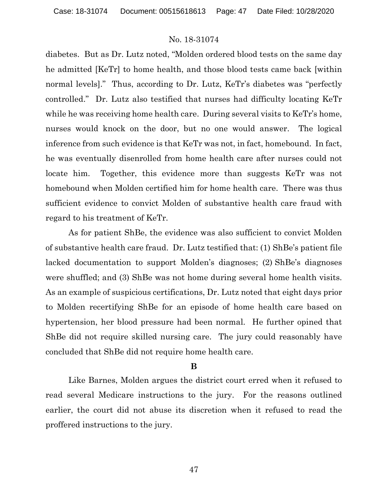diabetes. But as Dr. Lutz noted, "Molden ordered blood tests on the same day he admitted [KeTr] to home health, and those blood tests came back [within normal levels]." Thus, according to Dr. Lutz, KeTr's diabetes was "perfectly controlled." Dr. Lutz also testified that nurses had difficulty locating KeTr while he was receiving home health care. During several visits to KeTr's home, nurses would knock on the door, but no one would answer. The logical inference from such evidence is that KeTr was not, in fact, homebound. In fact, he was eventually disenrolled from home health care after nurses could not locate him. Together, this evidence more than suggests KeTr was not homebound when Molden certified him for home health care. There was thus sufficient evidence to convict Molden of substantive health care fraud with regard to his treatment of KeTr.

As for patient ShBe, the evidence was also sufficient to convict Molden of substantive health care fraud. Dr. Lutz testified that: (1) ShBe's patient file lacked documentation to support Molden's diagnoses; (2) ShBe's diagnoses were shuffled; and (3) ShBe was not home during several home health visits. As an example of suspicious certifications, Dr. Lutz noted that eight days prior to Molden recertifying ShBe for an episode of home health care based on hypertension, her blood pressure had been normal. He further opined that ShBe did not require skilled nursing care. The jury could reasonably have concluded that ShBe did not require home health care.

## **B**

Like Barnes, Molden argues the district court erred when it refused to read several Medicare instructions to the jury. For the reasons outlined earlier, the court did not abuse its discretion when it refused to read the proffered instructions to the jury.

47